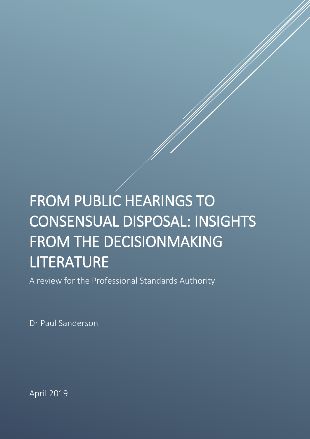# FROM PUBLIC HEARINGS TO CONSENSUAL DISPOSAL: INSIGHTS FROM THE DECISIONMAKING LITERATURE<br>A review for the Professional Standards Authority

Dr Paul Sanderson

April 2019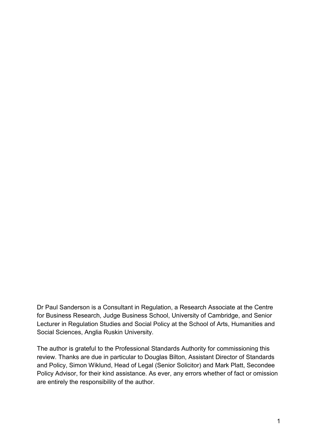Dr Paul Sanderson is a Consultant in Regulation, a Research Associate at the Centre for Business Research, Judge Business School, University of Cambridge, and Senior Lecturer in Regulation Studies and Social Policy at the School of Arts, Humanities and Social Sciences, Anglia Ruskin University.

The author is grateful to the Professional Standards Authority for commissioning this review. Thanks are due in particular to Douglas Bilton, Assistant Director of Standards and Policy, Simon Wiklund, Head of Legal (Senior Solicitor) and Mark Platt, Secondee Policy Advisor, for their kind assistance. As ever, any errors whether of fact or omission are entirely the responsibility of the author.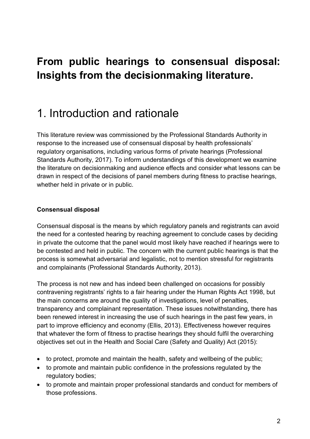### **From public hearings to consensual disposal: Insights from the decisionmaking literature.**

### 1. Introduction and rationale

This literature review was commissioned by the Professional Standards Authority in response to the increased use of consensual disposal by health professionals' regulatory organisations, including various forms of private hearings [\(Professional](#page-44-0)  [Standards Authority, 2017\)](#page-44-0). To inform understandings of this development we examine the literature on decisionmaking and audience effects and consider what lessons can be drawn in respect of the decisions of panel members during fitness to practise hearings, whether held in private or in public.

#### **Consensual disposal**

Consensual disposal is the means by which regulatory panels and registrants can avoid the need for a contested hearing by reaching agreement to conclude cases by deciding in private the outcome that the panel would most likely have reached if hearings were to be contested and held in public. The concern with the current public hearings is that the process is somewhat adversarial and legalistic, not to mention stressful for registrants and complainants [\(Professional Standards Authority, 2013\)](#page-43-0).

The process is not new and has indeed been challenged on occasions for possibly contravening registrants' rights to a fair hearing under the Human Rights Act 1998, but the main concerns are around the quality of investigations, level of penalties, transparency and complainant representation. These issues notwithstanding, there has been renewed interest in increasing the use of such hearings in the past few years, in part to improve efficiency and economy [\(Ellis, 2013\)](#page-39-0). Effectiveness however requires that whatever the form of fitness to practise hearings they should fulfil the overarching objectives set out in the Health and Social Care (Safety and Quality) Act [\(2015\)](#page-37-0):

- to protect, promote and maintain the health, safety and wellbeing of the public;
- to promote and maintain public confidence in the professions regulated by the regulatory bodies;
- to promote and maintain proper professional standards and conduct for members of those professions.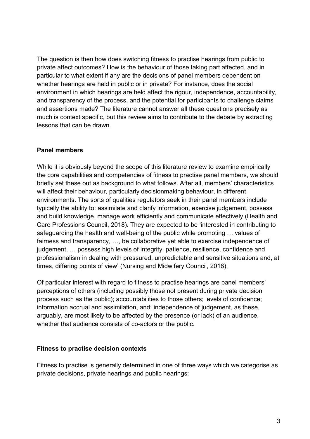The question is then how does switching fitness to practise hearings from public to private affect outcomes? How is the behaviour of those taking part affected, and in particular to what extent if any are the decisions of panel members dependent on whether hearings are held in public or in private? For instance, does the social environment in which hearings are held affect the rigour, independence, accountability, and transparency of the process, and the potential for participants to challenge claims and assertions made? The literature cannot answer all these questions precisely as much is context specific, but this review aims to contribute to the debate by extracting lessons that can be drawn.

#### **Panel members**

While it is obviously beyond the scope of this literature review to examine empirically the core capabilities and competencies of fitness to practise panel members, we should briefly set these out as background to what follows. After all, members' characteristics will affect their behaviour, particularly decisionmaking behaviour, in different environments. The sorts of qualities regulators seek in their panel members include typically the ability to: assimilate and clarify information, exercise judgement, possess and build knowledge, manage work efficiently and communicate effectively [\(Health and](#page-41-0)  [Care Professions Council, 2018\)](#page-41-0). They are expected to be 'interested in contributing to safeguarding the health and well-being of the public while promoting … values of fairness and transparency, …, be collaborative yet able to exercise independence of judgement, … possess high levels of integrity, patience, resilience, confidence and professionalism in dealing with pressured, unpredictable and sensitive situations and, at times, differing points of view' [\(Nursing and Midwifery Council, 2018\)](#page-43-1).

Of particular interest with regard to fitness to practise hearings are panel members' perceptions of others (including possibly those not present during private decision process such as the public); accountabilities to those others; levels of confidence; information accrual and assimilation, and; independence of judgement, as these, arguably, are most likely to be affected by the presence (or lack) of an audience, whether that audience consists of co-actors or the public.

#### **Fitness to practise decision contexts**

Fitness to practise is generally determined in one of three ways which we categorise as private decisions, private hearings and public hearings: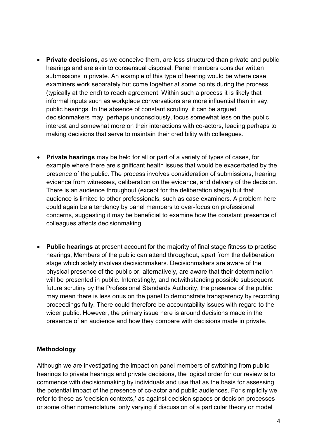- **Private decisions,** as we conceive them, are less structured than private and public hearings and are akin to consensual disposal. Panel members consider written submissions in private. An example of this type of hearing would be where case examiners work separately but come together at some points during the process (typically at the end) to reach agreement. Within such a process it is likely that informal inputs such as workplace conversations are more influential than in say, public hearings. In the absence of constant scrutiny, it can be argued decisionmakers may, perhaps unconsciously, focus somewhat less on the public interest and somewhat more on their interactions with co-actors, leading perhaps to making decisions that serve to maintain their credibility with colleagues.
- **Private hearings** may be held for all or part of a variety of types of cases, for example where there are significant health issues that would be exacerbated by the presence of the public. The process involves consideration of submissions, hearing evidence from witnesses, deliberation on the evidence, and delivery of the decision. There is an audience throughout (except for the deliberation stage) but that audience is limited to other professionals, such as case examiners. A problem here could again be a tendency by panel members to over-focus on professional concerns, suggesting it may be beneficial to examine how the constant presence of colleagues affects decisionmaking.
- **Public hearings** at present account for the majority of final stage fitness to practise hearings, Members of the public can attend throughout, apart from the deliberation stage which solely involves decisionmakers. Decisionmakers are aware of the physical presence of the public or, alternatively, are aware that their determination will be presented in public. Interestingly, and notwithstanding possible subsequent future scrutiny by the Professional Standards Authority, the presence of the public may mean there is less onus on the panel to demonstrate transparency by recording proceedings fully. There could therefore be accountability issues with regard to the wider public. However, the primary issue here is around decisions made in the presence of an audience and how they compare with decisions made in private.

#### **Methodology**

Although we are investigating the impact on panel members of switching from public hearings to private hearings and private decisions, the logical order for our review is to commence with decisionmaking by individuals and use that as the basis for assessing the potential impact of the presence of co-actor and public audiences. For simplicity we refer to these as 'decision contexts,' as against decision spaces or decision processes or some other nomenclature, only varying if discussion of a particular theory or model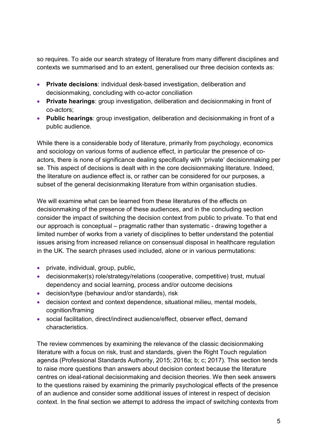so requires. To aide our search strategy of literature from many different disciplines and contexts we summarised and to an extent, generalised our three decision contexts as:

- **Private decisions**: individual desk-based investigation, deliberation and decisionmaking, concluding with co-actor conciliation
- **Private hearings**: group investigation, deliberation and decisionmaking in front of co-actors;
- **Public hearings**: group investigation, deliberation and decisionmaking in front of a public audience.

While there is a considerable body of literature, primarily from psychology, economics and sociology on various forms of audience effect, in particular the presence of coactors, there is none of significance dealing specifically with 'private' decisionmaking per se. This aspect of decisions is dealt with in the core decisionmaking literature. Indeed, the literature on audience effect is, or rather can be considered for our purposes, a subset of the general decisionmaking literature from within organisation studies.

We will examine what can be learned from these literatures of the effects on decisionmaking of the presence of these audiences, and in the concluding section consider the impact of switching the decision context from public to private. To that end our approach is conceptual – pragmatic rather than systematic - drawing together a limited number of works from a variety of disciplines to better understand the potential issues arising from increased reliance on consensual disposal in healthcare regulation in the UK. The search phrases used included, alone or in various permutations:

- private, individual, group, public,
- decisionmaker(s) role/strategy/relations (cooperative, competitive) trust, mutual dependency and social learning, process and/or outcome decisions
- decision/type (behaviour and/or standards), risk
- decision context and context dependence, situational milieu, mental models, cognition/framing
- social facilitation, direct/indirect audience/effect, observer effect, demand characteristics.

The review commences by examining the relevance of the classic decisionmaking literature with a focus on risk, trust and standards, given the Right Touch regulation agenda [\(Professional Standards Authority, 2015;](#page-44-1) [2016a;](#page-44-2) [b;](#page-44-3) [c;](#page-44-4) [2017\)](#page-44-0). This section tends to raise more questions than answers about decision context because the literature centres on ideal-rational decisionmaking and decision theories. We then seek answers to the questions raised by examining the primarily psychological effects of the presence of an audience and consider some additional issues of interest in respect of decision context. In the final section we attempt to address the impact of switching contexts from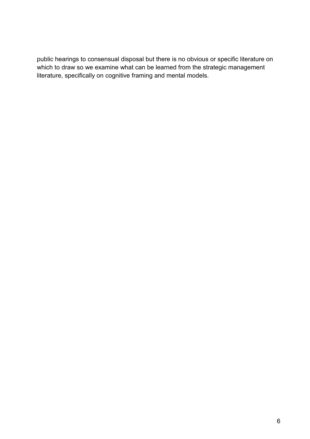public hearings to consensual disposal but there is no obvious or specific literature on which to draw so we examine what can be learned from the strategic management literature, specifically on cognitive framing and mental models.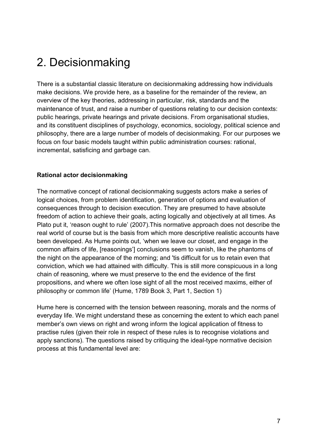### 2. Decisionmaking

There is a substantial classic literature on decisionmaking addressing how individuals make decisions. We provide here, as a baseline for the remainder of the review, an overview of the key theories, addressing in particular, risk, standards and the maintenance of trust, and raise a number of questions relating to our decision contexts: public hearings, private hearings and private decisions. From organisational studies, and its constituent disciplines of psychology, economics, sociology, political science and philosophy, there are a large number of models of decisionmaking. For our purposes we focus on four basic models taught within public administration courses: rational, incremental, satisficing and garbage can.

#### **Rational actor decisionmaking**

The normative concept of rational decisionmaking suggests actors make a series of logical choices, from problem identification, generation of options and evaluation of consequences through to decision execution. They are presumed to have absolute freedom of action to achieve their goals, acting logically and objectively at all times. As Plato put it, 'reason ought to rule' [\(2007\)](#page-43-2).This normative approach does not describe the real world of course but is the basis from which more descriptive realistic accounts have been developed. As Hume points out, 'when we leave our closet, and engage in the common affairs of life, [reasonings'] conclusions seem to vanish, like the phantoms of the night on the appearance of the morning; and 'tis difficult for us to retain even that conviction, which we had attained with difficulty. This is still more conspicuous in a long chain of reasoning, where we must preserve to the end the evidence of the first propositions, and where we often lose sight of all the most received maxims, either of philosophy or common life' [\(Hume, 1789 Book 3, Part 1, Section 1\)](#page-41-1)

Hume here is concerned with the tension between reasoning, morals and the norms of everyday life. We might understand these as concerning the extent to which each panel member's own views on right and wrong inform the logical application of fitness to practise rules (given their role in respect of these rules is to recognise violations and apply sanctions). The questions raised by critiquing the ideal-type normative decision process at this fundamental level are: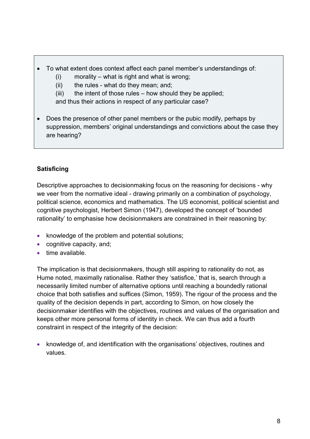- To what extent does context affect each panel member's understandings of:
	- (i) morality what is right and what is wrong;
	- (ii) the rules what do they mean; and;
	- $(iii)$  the intent of those rules how should they be applied;

and thus their actions in respect of any particular case?

• Does the presence of other panel members or the pubic modify, perhaps by suppression, members' original understandings and convictions about the case they are hearing?

#### **Satisficing**

Descriptive approaches to decisionmaking focus on the reasoning for decisions - why we veer from the normative ideal - drawing primarily on a combination of psychology, political science, economics and mathematics. The US economist, political scientist and cognitive psychologist, Herbert Simon [\(1947\)](#page-45-0), developed the concept of 'bounded rationality' to emphasise how decisionmakers are constrained in their reasoning by:

- knowledge of the problem and potential solutions;
- cognitive capacity, and;
- time available.

The implication is that decisionmakers, though still aspiring to rationality do not, as Hume noted, maximally rationalise. Rather they 'satisfice,' that is, search through a necessarily limited number of alternative options until reaching a boundedly rational choice that both satisfies and suffices [\(Simon, 1959\)](#page-45-1). The rigour of the process and the quality of the decision depends in part, according to Simon, on how closely the decisionmaker identifies with the objectives, routines and values of the organisation and keeps other more personal forms of identity in check. We can thus add a fourth constraint in respect of the integrity of the decision:

• knowledge of, and identification with the organisations' objectives, routines and values.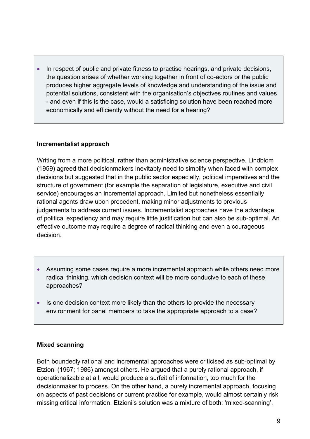• In respect of public and private fitness to practise hearings, and private decisions, the question arises of whether working together in front of co-actors or the public produces higher aggregate levels of knowledge and understanding of the issue and potential solutions, consistent with the organisation's objectives routines and values - and even if this is the case, would a satisficing solution have been reached more economically and efficiently without the need for a hearing?

#### **Incrementalist approach**

Writing from a more political, rather than administrative science perspective, Lindblom [\(1959\)](#page-42-0) agreed that decisionmakers inevitably need to simplify when faced with complex decisions but suggested that in the public sector especially, political imperatives and the structure of government (for example the separation of legislature, executive and civil service) encourages an incremental approach. Limited but nonetheless essentially rational agents draw upon precedent, making minor adjustments to previous judgements to address current issues. Incrementalist approaches have the advantage of political expediency and may require little justification but can also be sub-optimal. An effective outcome may require a degree of radical thinking and even a courageous decision.

- Assuming some cases require a more incremental approach while others need more radical thinking, which decision context will be more conducive to each of these approaches?
- Is one decision context more likely than the others to provide the necessary environment for panel members to take the appropriate approach to a case?

#### **Mixed scanning**

Both boundedly rational and incremental approaches were criticised as sub-optimal by Etzioni [\(1967;](#page-39-1) [1986\)](#page-40-0) amongst others. He argued that a purely rational approach, if operationalizable at all, would produce a surfeit of information, too much for the decisionmaker to process. On the other hand, a purely incremental approach, focusing on aspects of past decisions or current practice for example, would almost certainly risk missing critical information. Etzioni's solution was a mixture of both: 'mixed-scanning',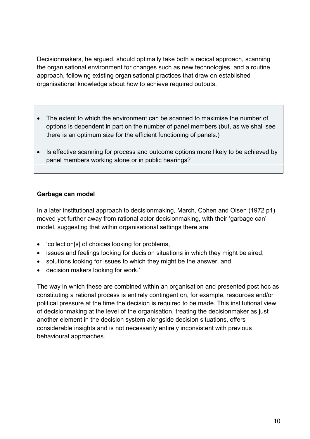Decisionmakers, he argued, should optimally take both a radical approach, scanning the organisational environment for changes such as new technologies, and a routine approach, following existing organisational practices that draw on established organisational knowledge about how to achieve required outputs.

- The extent to which the environment can be scanned to maximise the number of options is dependent in part on the number of panel members (but, as we shall see there is an optimum size for the efficient functioning of panels.)
- Is effective scanning for process and outcome options more likely to be achieved by panel members working alone or in public hearings?

#### **Garbage can model**

In a later institutional approach to decisionmaking, March, Cohen and Olsen [\(1972 p1\)](#page-38-0) moved yet further away from rational actor decisionmaking, with their 'garbage can' model, suggesting that within organisational settings there are:

- 'collection[s] of choices looking for problems,
- issues and feelings looking for decision situations in which they might be aired,
- solutions looking for issues to which they might be the answer, and
- decision makers looking for work.'

The way in which these are combined within an organisation and presented post hoc as constituting a rational process is entirely contingent on, for example, resources and/or political pressure at the time the decision is required to be made. This institutional view of decisionmaking at the level of the organisation, treating the decisionmaker as just another element in the decision system alongside decision situations, offers considerable insights and is not necessarily entirely inconsistent with previous behavioural approaches.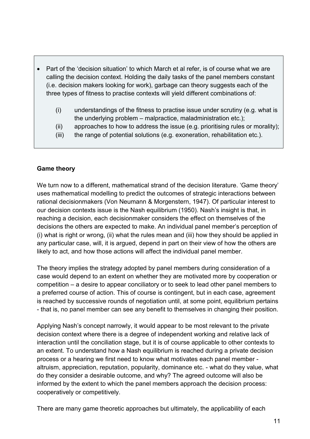- Part of the 'decision situation' to which March et al refer, is of course what we are calling the decision context. Holding the daily tasks of the panel members constant (i.e. decision makers looking for work), garbage can theory suggests each of the three types of fitness to practise contexts will yield different combinations of:
	- (i) understandings of the fitness to practise issue under scrutiny (e.g. what is the underlying problem – malpractice, maladministration etc.);
	- (ii) approaches to how to address the issue (e.g. prioritising rules or morality);
	- (iii) the range of potential solutions (e.g. exoneration, rehabilitation etc.).

#### **Game theory**

We turn now to a different, mathematical strand of the decision literature. 'Game theory' uses mathematical modelling to predict the outcomes of strategic interactions between rational decisionmakers [\(Von Neumann & Morgenstern, 1947\)](#page-46-0). Of particular interest to our decision contexts issue is the Nash equilibrium [\(1950\)](#page-43-3). Nash's insight is that, in reaching a decision, each decisionmaker considers the effect on themselves of the decisions the others are expected to make. An individual panel member's perception of (i) what is right or wrong, (ii) what the rules mean and (iii) how they should be applied in any particular case, will, it is argued, depend in part on their view of how the others are likely to act, and how those actions will affect the individual panel member.

The theory implies the strategy adopted by panel members during consideration of a case would depend to an extent on whether they are motivated more by cooperation or competition – a desire to appear conciliatory or to seek to lead other panel members to a preferred course of action. This of course is contingent, but in each case, agreement is reached by successive rounds of negotiation until, at some point, equilibrium pertains - that is, no panel member can see any benefit to themselves in changing their position.

Applying Nash's concept narrowly, it would appear to be most relevant to the private decision context where there is a degree of independent working and relative lack of interaction until the conciliation stage, but it is of course applicable to other contexts to an extent. To understand how a Nash equilibrium is reached during a private decision process or a hearing we first need to know what motivates each panel member altruism, appreciation, reputation, popularity, dominance etc. - what do they value, what do they consider a desirable outcome, and why? The agreed outcome will also be informed by the extent to which the panel members approach the decision process: cooperatively or competitively.

There are many game theoretic approaches but ultimately, the applicability of each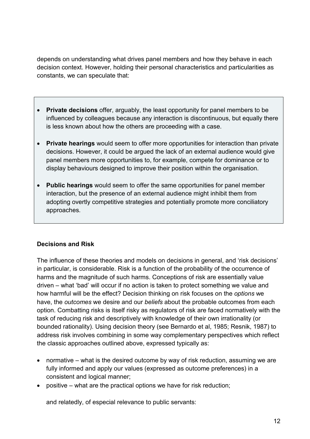depends on understanding what drives panel members and how they behave in each decision context. However, holding their personal characteristics and particularities as constants, we can speculate that:

- **Private decisions** offer, arguably, the least opportunity for panel members to be influenced by colleagues because any interaction is discontinuous, but equally there is less known about how the others are proceeding with a case.
- **Private hearings** would seem to offer more opportunities for interaction than private decisions. However, it could be argued the lack of an external audience would give panel members more opportunities to, for example, compete for dominance or to display behaviours designed to improve their position within the organisation.
- **Public hearings** would seem to offer the same opportunities for panel member interaction, but the presence of an external audience might inhibit them from adopting overtly competitive strategies and potentially promote more conciliatory approaches.

#### **Decisions and Risk**

The influence of these theories and models on decisions in general, and 'risk decisions' in particular, is considerable. Risk is a function of the probability of the occurrence of harms and the magnitude of such harms. Conceptions of risk are essentially value driven – what 'bad' will occur if no action is taken to protect something we value and how harmful will be the effect? Decision thinking on risk focuses on the *options* we have, the *outcomes* we desire and our *beliefs* about the probable outcomes from each option. Combatting risks is itself risky as regulators of risk are faced normatively with the task of reducing risk and descriptively with knowledge of their own irrationality (or bounded rationality). Using decision theory (see [Bernardo et al, 1985;](#page-38-1) [Resnik, 1987\)](#page-44-5) to address risk involves combining in some way complementary perspectives which reflect the classic approaches outlined above, expressed typically as:

- normative what is the desired outcome by way of risk reduction, assuming we are fully informed and apply our values (expressed as outcome preferences) in a consistent and logical manner;
- positive what are the practical options we have for risk reduction;

and relatedly, of especial relevance to public servants: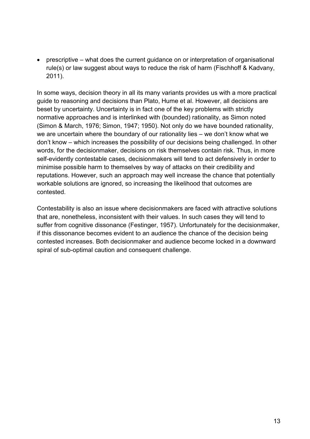• prescriptive – what does the current guidance on or interpretation of organisational rule(s) or law suggest about ways to reduce the risk of harm [\(Fischhoff & Kadvany,](#page-40-1)  [2011\)](#page-40-1).

In some ways, decision theory in all its many variants provides us with a more practical guide to reasoning and decisions than Plato, Hume et al. However, all decisions are beset by uncertainty. Uncertainty is in fact one of the key problems with strictly normative approaches and is interlinked with (bounded) rationality, as Simon noted [\(Simon & March, 1976;](#page-45-2) [Simon, 1947;](#page-45-0) [1950\)](#page-45-3). Not only do we have bounded rationality, we are uncertain where the boundary of our rationality lies – we don't know what we don't know – which increases the possibility of our decisions being challenged. In other words, for the decisionmaker, decisions on risk themselves contain risk. Thus, in more self-evidently contestable cases, decisionmakers will tend to act defensively in order to minimise possible harm to themselves by way of attacks on their credibility and reputations. However, such an approach may well increase the chance that potentially workable solutions are ignored, so increasing the likelihood that outcomes are contested.

Contestability is also an issue where decisionmakers are faced with attractive solutions that are, nonetheless, inconsistent with their values. In such cases they will tend to suffer from cognitive dissonance [\(Festinger, 1957\)](#page-40-2). Unfortunately for the decisionmaker, if this dissonance becomes evident to an audience the chance of the decision being contested increases. Both decisionmaker and audience become locked in a downward spiral of sub-optimal caution and consequent challenge.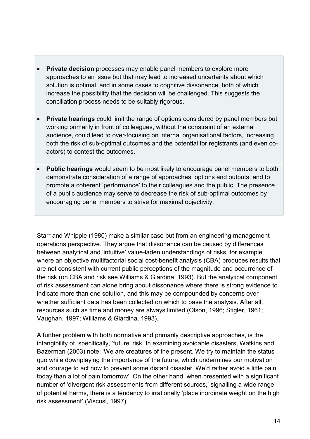- **Private decision** processes may enable panel members to explore more approaches to an issue but that may lead to increased uncertainty about which solution is optimal, and in some cases to cognitive dissonance, both of which increase the possibility that the decision will be challenged. This suggests the conciliation process needs to be suitably rigorous.
- **Private hearings** could limit the range of options considered by panel members but working primarily in front of colleagues, without the constraint of an external audience, could lead to over-focusing on internal organisational factors, increasing both the risk of sub-optimal outcomes and the potential for registrants (and even coactors) to contest the outcomes.
- **Public hearings** would seem to be most likely to encourage panel members to both demonstrate consideration of a range of approaches, options and outputs, and to promote a coherent 'performance' to their colleagues and the public. The presence of a public audience may serve to decrease the risk of sub-optimal outcomes by encouraging panel members to strive for maximal objectivity.

Starr and Whipple [\(1980\)](#page-46-1) make a similar case but from an engineering management operations perspective. They argue that dissonance can be caused by differences between analytical and 'intuitive' value-laden understandings of risks, for example where an objective multifactorial social cost-benefit analysis (CBA) produces results that are not consistent with current public perceptions of the magnitude and occurrence of the risk [\(on CBA and risk see Williams & Giardina, 1993\)](#page-46-2). But the analytical component of risk assessment can alone bring about dissonance where there is strong evidence to indicate more than one solution, and this may be compounded by concerns over whether sufficient data has been collected on which to base the analysis. After all, resources such as time and money are always limited [\(Olson, 1996;](#page-43-4) [Stigler, 1961;](#page-46-3) [Vaughan, 1997;](#page-46-4) [Williams & Giardina, 1993\)](#page-46-2).

A further problem with both normative and primarily descriptive approaches, is the intangibility of, specifically, 'future' risk. In examining avoidable disasters, Watkins and Bazerman [\(2003\)](#page-46-5) note: 'We are creatures of the present. We try to maintain the status quo while downplaying the importance of the future, which undermines our motivation and courage to act now to prevent some distant disaster. We'd rather avoid a little pain today than a lot of pain tomorrow'. On the other hand, when presented with a significant number of 'divergent risk assessments from different sources,' signalling a wide range of potential harms, there is a tendency to irrationally 'place inordinate weight on the high risk assessment' [\(Viscusi, 1997\)](#page-46-6).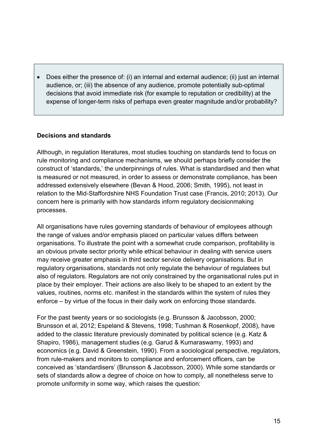• Does either the presence of: (i) an internal and external audience; (ii) just an internal audience, or; (iii) the absence of any audience, promote potentially sub-optimal decisions that avoid immediate risk (for example to reputation or credibility) at the expense of longer-term risks of perhaps even greater magnitude and/or probability?

#### **Decisions and standards**

Although, in regulation literatures, most studies touching on standards tend to focus on rule monitoring and compliance mechanisms, we should perhaps briefly consider the construct of 'standards,' the underpinnings of rules. What is standardised and then what is measured or not measured, in order to assess or demonstrate compliance, has been addressed extensively elsewhere [\(Bevan & Hood, 2006;](#page-38-2) [Smith, 1995\)](#page-45-4), not least in relation to the Mid-Staffordshire NHS Foundation Trust case [\(Francis, 2010;](#page-40-3) [2013\)](#page-40-4). Our concern here is primarily with how standards inform regulatory decisionmaking processes.

All organisations have rules governing standards of behaviour of employees although the range of values and/or emphasis placed on particular values differs between organisations. To illustrate the point with a somewhat crude comparison, profitability is an obvious private sector priority while ethical behaviour in dealing with service users may receive greater emphasis in third sector service delivery organisations. But in regulatory organisations, standards not only regulate the behaviour of regulatees but also of regulators. Regulators are not only constrained by the organisational rules put in place by their employer. Their actions are also likely to be shaped to an extent by the values, routines, norms etc. manifest in the standards within the system of rules they enforce – by virtue of the focus in their daily work on enforcing those standards.

For the past twenty years or so sociologists (e.g. [Brunsson & Jacobsson, 2000;](#page-38-3) [Brunsson et al, 2012;](#page-38-4) [Espeland & Stevens, 1998;](#page-39-2) [Tushman & Rosenkopf, 2008\)](#page-46-7), have added to the classic literature previously dominated by political science [\(e.g. Katz &](#page-41-2)  [Shapiro, 1986\)](#page-41-2), management studies [\(e.g. Garud & Kumaraswamy, 1993\)](#page-40-5) and economics [\(e.g. David & Greenstein, 1990\)](#page-39-3). From a sociological perspective, regulators, from rule-makers and monitors to compliance and enforcement officers, can be conceived as 'standardisers' [\(Brunsson & Jacobsson, 2000\)](#page-38-3). While some standards or sets of standards allow a degree of choice on how to comply, all nonetheless serve to promote uniformity in some way, which raises the question: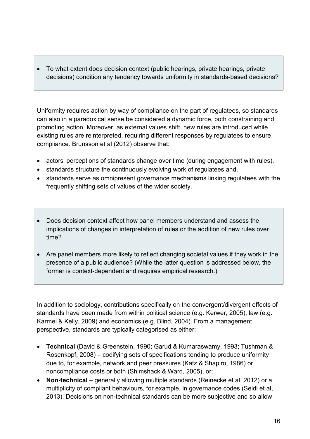• To what extent does decision context (public hearings, private hearings, private decisions) condition any tendency towards uniformity in standards-based decisions?

Uniformity requires action by way of compliance on the part of regulatees, so standards can also in a paradoxical sense be considered a dynamic force, both constraining and promoting action. Moreover, as external values shift, new rules are introduced while existing rules are reinterpreted, requiring different responses by regulatees to ensure compliance. Brunsson et al (2012) observe that:

- actors' perceptions of standards change over time (during engagement with rules),
- standards structure the continuously evolving work of regulatees and,
- standards serve as omnipresent governance mechanisms linking regulatees with the frequently shifting sets of values of the wider society.
- Does decision context affect how panel members understand and assess the implications of changes in interpretation of rules or the addition of new rules over time?
- Are panel members more likely to reflect changing societal values if they work in the presence of a public audience? (While the latter question is addressed below, the former is context-dependent and requires empirical research.)

In addition to sociology, contributions specifically on the convergent/divergent effects of standards have been made from within political science [\(e.g. Kerwer, 2005\)](#page-42-1), law [\(e.g.](#page-41-3)  [Karmel & Kelly, 2009\)](#page-41-3) and economics [\(e.g. Blind, 2004\)](#page-38-5). From a management perspective, standards are typically categorised as either:

- **Technical** [\(David & Greenstein, 1990;](#page-39-3) [Garud & Kumaraswamy, 1993;](#page-40-5) [Tushman &](#page-46-7)  [Rosenkopf, 2008\)](#page-46-7) – codifying sets of specifications tending to produce uniformity due to, for example, network and peer pressures [\(Katz & Shapiro, 1986\)](#page-41-2) or noncompliance costs or both [\(Shimshack & Ward, 2005\)](#page-45-5), or;
- **Non-technical** generally allowing multiple standards [\(Reinecke et al, 2012\)](#page-44-6) or a multiplicity of compliant behaviours, for example, in governance codes [\(Seidl et al,](#page-45-6)  [2013\)](#page-45-6). Decisions on non-technical standards can be more subjective and so allow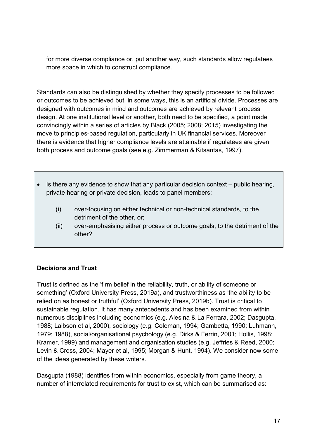for more diverse compliance or, put another way, such standards allow regulatees more space in which to construct compliance.

Standards can also be distinguished by whether they specify processes to be followed or outcomes to be achieved but, in some ways, this is an artificial divide. Processes are designed with outcomes in mind and outcomes are achieved by relevant process design. At one institutional level or another, both need to be specified, a point made convincingly within a series of articles by Black [\(2005;](#page-38-6) [2008;](#page-38-7) [2015\)](#page-38-8) investigating the move to principles-based regulation, particularly in UK financial services. Moreover there is evidence that higher compliance levels are attainable if regulatees are given both process and outcome goals [\(see e.g. Zimmerman & Kitsantas, 1997\)](#page-46-8).

- Is there any evidence to show that any particular decision context public hearing, private hearing or private decision, leads to panel members:
	- (i) over-focusing on either technical or non-technical standards, to the detriment of the other, or;
	- (ii) over-emphasising either process or outcome goals, to the detriment of the other?

#### **Decisions and Trust**

Trust is defined as the 'firm belief in the reliability, truth, or ability of someone or something' [\(Oxford University Press, 2019a\)](#page-43-5), and trustworthiness as 'the ability to be relied on as honest or truthful' [\(Oxford University Press, 2019b\)](#page-43-6). Trust is critical to sustainable regulation. It has many antecedents and has been examined from within numerous disciplines including economics (e.g. [Alesina & La Ferrara, 2002;](#page-37-1) [Dasgupta,](#page-39-4)  [1988;](#page-39-4) [Laibson et al, 2000\)](#page-42-2), sociology (e.g. [Coleman, 1994;](#page-38-9) [Gambetta, 1990;](#page-40-6) [Luhmann,](#page-42-3)  [1979;](#page-42-3) [1988\)](#page-42-4), social/organisational psychology (e.g. [Dirks & Ferrin, 2001;](#page-39-5) [Hollis, 1998;](#page-41-4) [Kramer, 1999\)](#page-42-5) and management and organisation studies (e.g. [Jeffries & Reed, 2000;](#page-41-5) [Levin & Cross, 2004;](#page-42-6) [Mayer et al, 1995;](#page-42-7) [Morgan & Hunt, 1994\)](#page-42-8). We consider now some of the ideas generated by these writers.

Dasgupta (1988) identifies from within economics, especially from game theory, a number of interrelated requirements for trust to exist, which can be summarised as: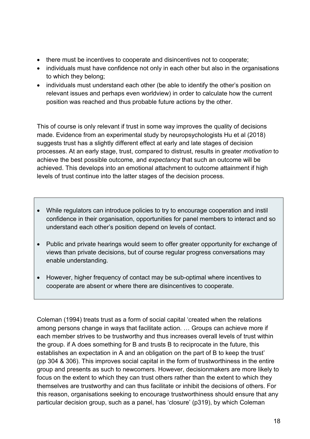- there must be incentives to cooperate and disincentives not to cooperate;
- individuals must have confidence not only in each other but also in the organisations to which they belong;
- individuals must understand each other (be able to identify the other's position on relevant issues and perhaps even worldview) in order to calculate how the current position was reached and thus probable future actions by the other.

This of course is only relevant if trust in some way improves the quality of decisions made. Evidence from an experimental study by neuropsychologists Hu et al [\(2018\)](#page-41-6) suggests trust has a slightly different effect at early and late stages of decision processes. At an early stage, trust, compared to distrust, results in greater *motivation* to achieve the best possible outcome, and *expectancy* that such an outcome will be achieved. This develops into an emotional attachment to outcome attainment if high levels of trust continue into the latter stages of the decision process.

- While regulators can introduce policies to try to encourage cooperation and instil confidence in their organisation, opportunities for panel members to interact and so understand each other's position depend on levels of contact.
- Public and private hearings would seem to offer greater opportunity for exchange of views than private decisions, but of course regular progress conversations may enable understanding.
- However, higher frequency of contact may be sub-optimal where incentives to cooperate are absent or where there are disincentives to cooperate.

Coleman [\(1994\)](#page-38-9) treats trust as a form of social capital 'created when the relations among persons change in ways that facilitate action. … Groups can achieve more if each member strives to be trustworthy and thus increases overall levels of trust within the group. if A does something for B and trusts B to reciprocate in the future, this establishes an expectation in A and an obligation on the part of B to keep the trust' (pp 304 & 306). This improves social capital in the form of trustworthiness in the entire group and presents as such to newcomers. However, decisionmakers are more likely to focus on the extent to which they can trust others rather than the extent to which they themselves are trustworthy and can thus facilitate or inhibit the decisions of others. For this reason, organisations seeking to encourage trustworthiness should ensure that any particular decision group, such as a panel, has 'closure' [\(p319\)](#page-38-9), by which Coleman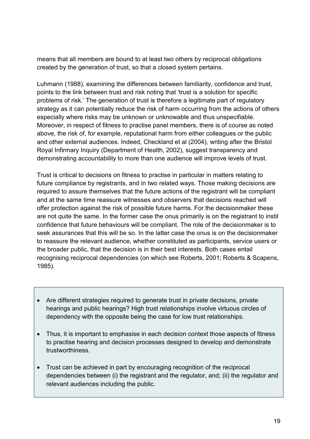means that all members are bound to at least two others by reciprocal obligations created by the generation of trust, so that a closed system pertains.

Luhmann [\(1988\)](#page-42-4), examining the differences between familiarity, confidence and trust, points to the link between trust and risk noting that 'trust is a solution for specific problems of risk.' The generation of trust is therefore a legitimate part of regulatory strategy as it can potentially reduce the risk of harm occurring from the actions of others especially where risks may be unknown or unknowable and thus unspecifiable. Moreover, in respect of fitness to practise panel members, there is of course as noted above, the risk of, for example, reputational harm from either colleagues or the public and other external audiences. Indeed, Checkland et al [\(2004\)](#page-38-10), writing after the Bristol Royal Infirmary Inquiry [\(Department of Health, 2002\)](#page-39-6), suggest transparency and demonstrating accountability to more than one audience will improve levels of trust.

Trust is critical to decisions on fitness to practise in particular in matters relating to future compliance by registrants, and in two related ways. Those making decisions are required to assure themselves that the future actions of the registrant will be compliant and at the same time reassure witnesses and observers that decisions reached will offer protection against the risk of possible future harms. For the decisionmaker these are not quite the same. In the former case the onus primarily is on the registrant to instil confidence that future behaviours will be compliant. The role of the decisionmaker is to seek assurances that this will be so. In the latter case the onus is on the decisionmaker to reassure the relevant audience, whether constituted as participants, service users or the broader public, that the decision is in their best interests. Both cases entail recognising reciprocal dependencies (on which see [Roberts, 2001;](#page-44-7) [Roberts & Scapens,](#page-44-8)  [1985\)](#page-44-8).

- Are different strategies required to generate trust in private decisions, private hearings and public hearings? High trust relationships involve virtuous circles of dependency with the opposite being the case for low trust relationships.
- Thus, it is important to emphasise in each decision context those aspects of fitness to practise hearing and decision processes designed to develop and demonstrate trustworthiness.
- Trust can be achieved in part by encouraging recognition of the reciprocal dependencies between (i) the registrant and the regulator, and; (ii) the regulator and relevant audiences including the public.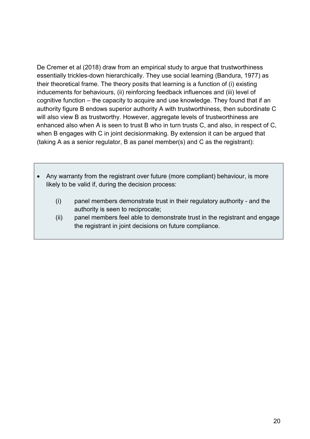De Cremer et al [\(2018\)](#page-39-7) draw from an empirical study to argue that trustworthiness essentially trickles-down hierarchically. They use social learning [\(Bandura, 1977\)](#page-37-2) as their theoretical frame. The theory posits that learning is a function of (i) existing inducements for behaviours, (ii) reinforcing feedback influences and (iii) level of cognitive function – the capacity to acquire and use knowledge. They found that if an authority figure B endows superior authority A with trustworthiness, then subordinate C will also view B as trustworthy. However, aggregate levels of trustworthiness are enhanced also when A is seen to trust B who in turn trusts C, and also, in respect of C, when B engages with C in joint decisionmaking. By extension it can be argued that (taking A as a senior regulator, B as panel member(s) and C as the registrant):

- Any warranty from the registrant over future (more compliant) behaviour, is more likely to be valid if, during the decision process:
	- (i) panel members demonstrate trust in their regulatory authority and the authority is seen to reciprocate;
	- (ii) panel members feel able to demonstrate trust in the registrant and engage the registrant in joint decisions on future compliance.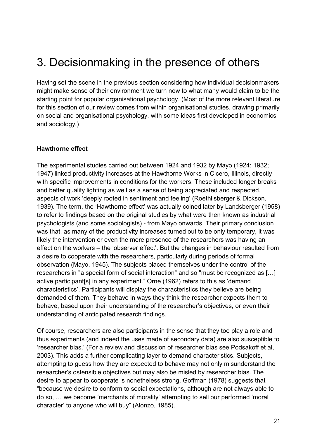## 3. Decisionmaking in the presence of others

Having set the scene in the previous section considering how individual decisionmakers might make sense of their environment we turn now to what many would claim to be the starting point for popular organisational psychology. (Most of the more relevant literature for this section of our review comes from within organisational studies, drawing primarily on social and organisational psychology, with some ideas first developed in economics and sociology.)

#### **Hawthorne effect**

The experimental studies carried out between 1924 and 1932 by Mayo [\(1924;](#page-42-9) [1932;](#page-42-10) [1947\)](#page-42-11) linked productivity increases at the Hawthorne Works in Cicero, Illinois, directly with specific improvements in conditions for the workers. These included longer breaks and better quality lighting as well as a sense of being appreciated and respected, aspects of work 'deeply rooted in sentiment and feeling' [\(Roethlisberger & Dickson,](#page-44-9)  [1939\)](#page-44-9). The term, the 'Hawthorne effect' was actually coined later by Landsberger (1958) to refer to findings based on the original studies by what were then known as industrial psychologists (and some sociologists) - from Mayo onwards. Their primary conclusion was that, as many of the productivity increases turned out to be only temporary, it was likely the intervention or even the mere presence of the researchers was having an effect on the workers – the 'observer effect'. But the changes in behaviour resulted from a desire to cooperate with the researchers, particularly during periods of formal observation [\(Mayo, 1945\)](#page-42-12). The subjects placed themselves under the control of the researchers in "a special form of social interaction" and so "must be recognized as […] active participant[s] in any experiment." Orne [\(1962\)](#page-43-7) refers to this as 'demand characteristics'. Participants will display the characteristics they believe are being demanded of them. They behave in ways they think the researcher expects them to behave, based upon their understanding of the researcher's objectives, or even their understanding of anticipated research findings.

Of course, researchers are also participants in the sense that they too play a role and thus experiments (and indeed the uses made of secondary data) are also susceptible to 'researcher bias.' [\(For a review and discussion of researcher bias see Podsakoff et al,](#page-43-8)  [2003\)](#page-43-8). This adds a further complicating layer to demand characteristics. Subjects, attempting to guess how they are expected to behave may not only misunderstand the researcher's ostensible objectives but may also be misled by researcher bias. The desire to appear to cooperate is nonetheless strong. Goffman [\(1978\)](#page-40-7) suggests that "because we desire to conform to social expectations, although are not always able to do so, … we become 'merchants of morality' attempting to sell our performed 'moral character' to anyone who will buy" [\(Alonzo, 1985\)](#page-37-3).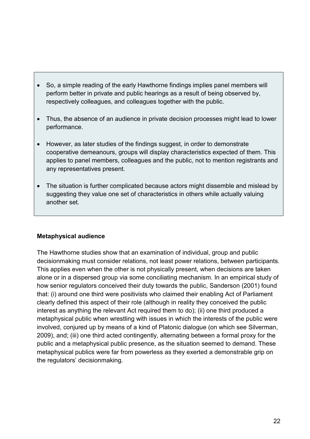- So, a simple reading of the early Hawthorne findings implies panel members will perform better in private and public hearings as a result of being observed by, respectively colleagues, and colleagues together with the public.
- Thus, the absence of an audience in private decision processes might lead to lower performance.
- However, as later studies of the findings suggest, in order to demonstrate cooperative demeanours, groups will display characteristics expected of them. This applies to panel members, colleagues and the public, not to mention registrants and any representatives present.
- The situation is further complicated because actors might dissemble and mislead by suggesting they value one set of characteristics in others while actually valuing another set.

#### **Metaphysical audience**

The Hawthorne studies show that an examination of individual, group and public decisionmaking must consider relations, not least power relations, between participants. This applies even when the other is not physically present, when decisions are taken alone or in a dispersed group via some conciliating mechanism. In an empirical study of how senior regulators conceived their duty towards the public, Sanderson [\(2001\)](#page-44-10) found that: (i) around one third were positivists who claimed their enabling Act of Parliament clearly defined this aspect of their role (although in reality they conceived the public interest as anything the relevant Act required them to do); (ii) one third produced a metaphysical public when wrestling with issues in which the interests of the public were involved, conjured up by means of a kind of Platonic dialogue [\(on which see Silverman,](#page-45-7)  [2009\)](#page-45-7), and; (iii) one third acted contingently, alternating between a formal proxy for the public and a metaphysical public presence, as the situation seemed to demand. These metaphysical publics were far from powerless as they exerted a demonstrable grip on the regulators' decisionmaking.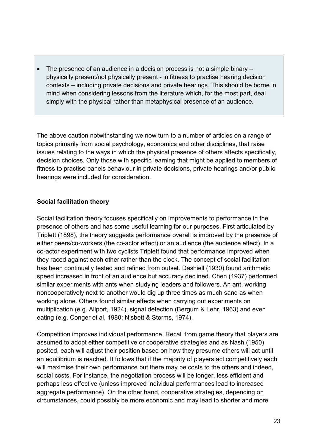• The presence of an audience in a decision process is not a simple binary – physically present/not physically present - in fitness to practise hearing decision contexts – including private decisions and private hearings. This should be borne in mind when considering lessons from the literature which, for the most part, deal simply with the physical rather than metaphysical presence of an audience.

The above caution notwithstanding we now turn to a number of articles on a range of topics primarily from social psychology, economics and other disciplines, that raise issues relating to the ways in which the physical presence of others affects specifically, decision choices. Only those with specific learning that might be applied to members of fitness to practise panels behaviour in private decisions, private hearings and/or public hearings were included for consideration.

#### **Social facilitation theory**

Social facilitation theory focuses specifically on improvements to performance in the presence of others and has some useful learning for our purposes. First articulated by Triplett [\(1898\)](#page-46-9), the theory suggests performance overall is improved by the presence of either peers/co-workers (the co-actor effect) or an audience (the audience effect). In a co-actor experiment with two cyclists Triplett found that performance improved when they raced against each other rather than the clock. The concept of social facilitation has been continually tested and refined from outset. Dashiell [\(1930\)](#page-39-8) found arithmetic speed increased in front of an audience but accuracy declined. Chen [\(1937\)](#page-38-11) performed similar experiments with ants when studying leaders and followers. An ant, working noncooperatively next to another would dig up three times as much sand as when working alone. Others found similar effects when carrying out experiments on multiplication [\(e.g. Allport, 1924\)](#page-37-4), signal detection [\(Bergum & Lehr, 1963\)](#page-37-5) and even eating (e.g. [Conger et al, 1980;](#page-39-9) [Nisbett & Storms, 1974\)](#page-43-9).

Competition improves individual performance. Recall from game theory that players are assumed to adopt either competitive or cooperative strategies and as Nash [\(1950\)](#page-43-3) posited, each will adjust their position based on how they presume others will act until an equilibrium is reached. It follows that if the majority of players act competitively each will maximise their own performance but there may be costs to the others and indeed, social costs. For instance, the negotiation process will be longer, less efficient and perhaps less effective (unless improved individual performances lead to increased aggregate performance). On the other hand, cooperative strategies, depending on circumstances, could possibly be more economic and may lead to shorter and more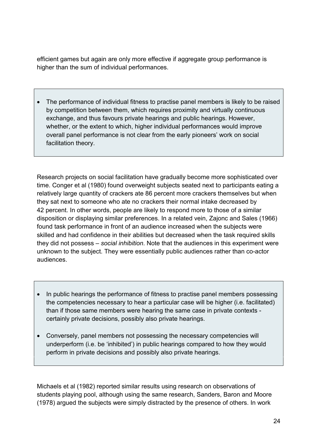efficient games but again are only more effective if aggregate group performance is higher than the sum of individual performances.

• The performance of individual fitness to practise panel members is likely to be raised by competition between them, which requires proximity and virtually continuous exchange, and thus favours private hearings and public hearings. However, whether, or the extent to which, higher individual performances would improve overall panel performance is not clear from the early pioneers' work on social facilitation theory.

Research projects on social facilitation have gradually become more sophisticated over time. Conger et al [\(1980\)](#page-39-9) found overweight subjects seated next to participants eating a relatively large quantity of crackers ate 86 percent more crackers themselves but when they sat next to someone who ate no crackers their normal intake decreased by 42 percent. In other words, people are likely to respond more to those of a similar disposition or displaying similar preferences. In a related vein, Zajonc and Sales [\(1966\)](#page-46-10) found task performance in front of an audience increased when the subjects were skilled and had confidence in their abilities but decreased when the task required skills they did not possess – *social inhibition*. Note that the audiences in this experiment were unknown to the subject. They were essentially public audiences rather than co-actor audiences.

- In public hearings the performance of fitness to practise panel members possessing the competencies necessary to hear a particular case will be higher (i.e. facilitated) than if those same members were hearing the same case in private contexts certainly private decisions, possibly also private hearings.
- Conversely, panel members not possessing the necessary competencies will underperform (i.e. be 'inhibited') in public hearings compared to how they would perform in private decisions and possibly also private hearings.

Michaels et al [\(1982\)](#page-42-13) reported similar results using research on observations of students playing pool, although using the same research, Sanders, Baron and Moore [\(1978\)](#page-44-11) argued the subjects were simply distracted by the presence of others. In work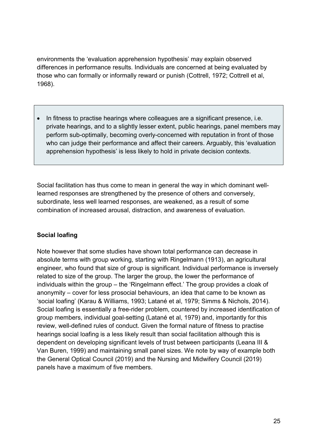environments the 'evaluation apprehension hypothesis' may explain observed differences in performance results. Individuals are concerned at being evaluated by those who can formally or informally reward or punish [\(Cottrell, 1972;](#page-39-10) [Cottrell et al,](#page-39-11)  [1968\)](#page-39-11).

• In fitness to practise hearings where colleagues are a significant presence, i.e. private hearings, and to a slightly lesser extent, public hearings, panel members may perform sub-optimally, becoming overly-concerned with reputation in front of those who can judge their performance and affect their careers. Arguably, this 'evaluation apprehension hypothesis' is less likely to hold in private decision contexts.

Social facilitation has thus come to mean in general the way in which dominant welllearned responses are strengthened by the presence of others and conversely, subordinate, less well learned responses, are weakened, as a result of some combination of increased arousal, distraction, and awareness of evaluation.

#### **Social loafing**

Note however that some studies have shown total performance can decrease in absolute terms with group working, starting with Ringelmann [\(1913\)](#page-44-12), an agricultural engineer, who found that size of group is significant. Individual performance is inversely related to size of the group. The larger the group, the lower the performance of individuals within the group – the 'Ringelmann effect.' The group provides a cloak of anonymity – cover for less prosocial behaviours, an idea that came to be known as 'social loafing' [\(Karau & Williams, 1993;](#page-41-7) [Latané et al, 1979;](#page-42-14) [Simms & Nichols, 2014\)](#page-45-8). Social loafing is essentially a free-rider problem, countered by increased identification of group members, individual goal-setting [\(Latané et al, 1979\)](#page-42-14) and, importantly for this review, well-defined rules of conduct. Given the formal nature of fitness to practise hearings social loafing is a less likely result than social facilitation although this is dependent on developing significant levels of trust between participants [\(Leana III &](#page-42-15)  [Van Buren, 1999\)](#page-42-15) and maintaining small panel sizes. We note by way of example both the General Optical Council [\(2019\)](#page-40-8) and the Nursing and Midwifery Council [\(2019\)](#page-43-10) panels have a maximum of five members.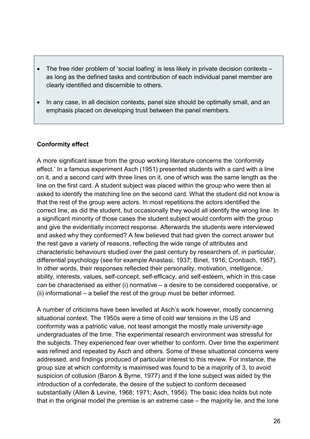- The free rider problem of 'social loafing' is less likely in private decision contexts as long as the defined tasks and contribution of each individual panel member are clearly identified and discernible to others.
- In any case, in all decision contexts, panel size should be optimally small, and an emphasis placed on developing trust between the panel members.

#### **Conformity effect**

A more significant issue from the group working literature concerns the 'conformity effect.' In a famous experiment Asch [\(1951\)](#page-37-6) presented students with a card with a line on it, and a second card with three lines on it, one of which was the same length as the line on the first card. A student subject was placed within the group who were then al asked to identify the matching line on the second card. What the student did not know is that the rest of the group were actors. In most repetitions the actors identified the correct line, as did the student, but occasionally they would all identify the wrong line. In a significant minority of those cases the student subject would conform with the group and give the evidentially incorrect response. Afterwards the students were interviewed and asked why they conformed? A few believed that had given the correct answer but the rest gave a variety of reasons, reflecting the wide range of attributes and characteristic behaviours studied over the past century by researchers of, in particular, differential psychology (see for example [Anastasi, 1937;](#page-37-7) [Binet, 1916;](#page-38-12) [Cronbach, 1957\)](#page-39-12). In other words, their responses reflected their personality, motivation, intelligence, ability, interests, values, self-concept, self-efficacy, and self-esteem, which in this case can be characterised as either (i) normative – a desire to be considered cooperative, or (ii) informational – a belief the rest of the group must be better informed.

A number of criticisms have been levelled at Asch's work however, mostly concerning situational context. The 1950s were a time of cold war tensions in the US and conformity was a patriotic value, not least amongst the mostly male university-age undergraduates of the time. The experimental research environment was stressful for the subjects. They experienced fear over whether to conform. Over time the experiment was refined and repeated by Asch and others. Some of these situational concerns were addressed, and findings produced of particular interest to this review. For instance, the group size at which conformity is maximised was found to be a majority of 3, to avoid suspicion of collusion [\(Baron & Byrne, 1977\)](#page-37-8) and if the lone subject was aided by the introduction of a confederate, the desire of the subject to conform deceased substantially [\(Allen & Levine, 1968;](#page-37-9) [1971;](#page-37-10) [Asch, 1956\)](#page-37-11). The basic idea holds but note that in the original model the premise is an extreme case – the majority lie, and the lone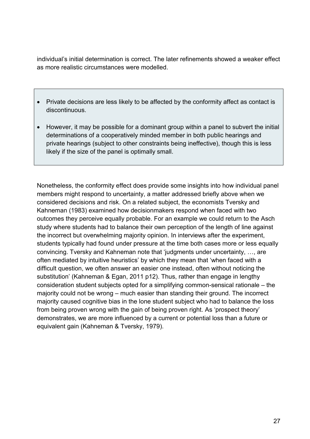individual's initial determination is correct. The later refinements showed a weaker effect as more realistic circumstances were modelled.

- Private decisions are less likely to be affected by the conformity affect as contact is discontinuous.
- However, it may be possible for a dominant group within a panel to subvert the initial determinations of a cooperatively minded member in both public hearings and private hearings (subject to other constraints being ineffective), though this is less likely if the size of the panel is optimally small.

Nonetheless, the conformity effect does provide some insights into how individual panel members might respond to uncertainty, a matter addressed briefly above when we considered decisions and risk. On a related subject, the economists Tversky and Kahneman [\(1983\)](#page-46-11) examined how decisionmakers respond when faced with two outcomes they perceive equally probable. For an example we could return to the Asch study where students had to balance their own perception of the length of line against the incorrect but overwhelming majority opinion. In interviews after the experiment, students typically had found under pressure at the time both cases more or less equally convincing. Tversky and Kahneman note that 'judgments under uncertainty, …, are often mediated by intuitive heuristics' by which they mean that 'when faced with a difficult question, we often answer an easier one instead, often without noticing the substitution' [\(Kahneman & Egan, 2011 p12\)](#page-41-8). Thus, rather than engage in lengthy consideration student subjects opted for a simplifying common-sensical rationale – the majority could not be wrong – much easier than standing their ground. The incorrect majority caused cognitive bias in the lone student subject who had to balance the loss from being proven wrong with the gain of being proven right. As 'prospect theory' demonstrates, we are more influenced by a current or potential loss than a future or equivalent gain [\(Kahneman & Tversky, 1979\)](#page-41-9).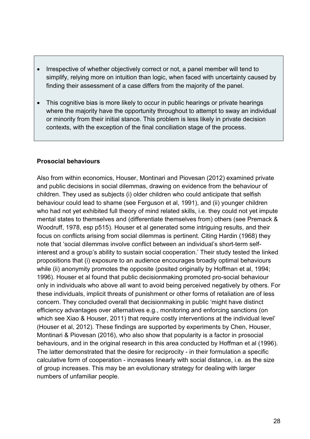- Irrespective of whether objectively correct or not, a panel member will tend to simplify, relying more on intuition than logic, when faced with uncertainty caused by finding their assessment of a case differs from the majority of the panel.
- This cognitive bias is more likely to occur in public hearings or private hearings where the majority have the opportunity throughout to attempt to sway an individual or minority from their initial stance. This problem is less likely in private decision contexts, with the exception of the final conciliation stage of the process.

#### **Prosocial behaviours**

Also from within economics, Houser, Montinari and Piovesan [\(2012\)](#page-41-10) examined private and public decisions in social dilemmas, drawing on evidence from the behaviour of children. They used as subjects (i) older children who could anticipate that selfish behaviour could lead to shame [\(see Ferguson et al, 1991\)](#page-40-9), and (ii) younger children who had not yet exhibited full theory of mind related skills, i.e. they could not yet impute mental states to themselves and (differentiate themselves from) others [\(see Premack &](#page-43-11)  [Woodruff, 1978, esp p515\)](#page-43-11). Houser et al generated some intriguing results, and their focus on conflicts arising from social dilemmas is pertinent. Citing Hardin [\(1968\)](#page-41-11) they note that 'social dilemmas involve conflict between an individual's short-term selfinterest and a group's ability to sustain social cooperation.' Their study tested the linked propositions that (i) exposure to an audience encourages broadly optimal behaviours while (ii) anonymity promotes the opposite (posited originally by [Hoffman et al, 1994;](#page-41-12) [1996\)](#page-41-13). Houser et al found that public decisionmaking promoted pro-social behaviour only in individuals who above all want to avoid being perceived negatively by others. For these individuals, implicit threats of punishment or other forms of retaliation are of less concern. They concluded overall that decisionmaking in public 'might have distinct efficiency advantages over alternatives e.g., monitoring and enforcing sanctions [\(on](#page-46-12)  [which see Xiao & Houser, 2011\)](#page-46-12) that require costly interventions at the individual level' [\(Houser et al, 2012\)](#page-41-10). These findings are supported by experiments by Chen, Houser, Montinari & Piovesan [\(2016\)](#page-38-13), who also show that popularity is a factor in prosocial behaviours, and in the original research in this area conducted by Hoffman et al [\(1996\)](#page-41-13). The latter demonstrated that the desire for reciprocity - in their formulation a specific calculative form of cooperation - increases linearly with social distance, i.e. as the size of group increases. This may be an evolutionary strategy for dealing with larger numbers of unfamiliar people.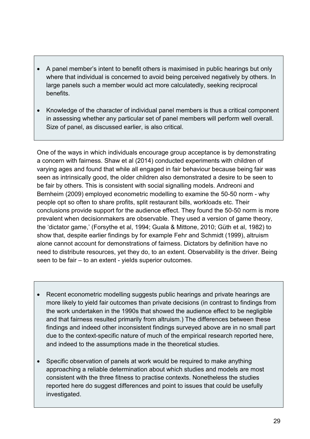- A panel member's intent to benefit others is maximised in public hearings but only where that individual is concerned to avoid being perceived negatively by others. In large panels such a member would act more calculatedly, seeking reciprocal benefits.
- Knowledge of the character of individual panel members is thus a critical component in assessing whether any particular set of panel members will perform well overall. Size of panel, as discussed earlier, is also critical.

One of the ways in which individuals encourage group acceptance is by demonstrating a concern with fairness. Shaw et al [\(2014\)](#page-45-9) conducted experiments with children of varying ages and found that while all engaged in fair behaviour because being fair was seen as intrinsically good, the older children also demonstrated a desire to be seen to be fair by others. This is consistent with social signalling models. Andreoni and Bernheim [\(2009\)](#page-37-12) employed econometric modelling to examine the 50-50 norm - why people opt so often to share profits, split restaurant bills, workloads etc. Their conclusions provide support for the audience effect. They found the 50-50 norm is more prevalent when decisionmakers are observable. They used a version of game theory, the 'dictator game,' [\(Forsythe et al, 1994;](#page-40-10) [Guala & Mittone, 2010;](#page-40-11) [Güth et al, 1982\)](#page-40-12) to show that, despite earlier findings by for example Fehr and Schmidt [\(1999\)](#page-40-13), altruism alone cannot account for demonstrations of fairness. Dictators by definition have no need to distribute resources, yet they do, to an extent. Observability is the driver. Being seen to be fair – to an extent - yields superior outcomes.

- Recent econometric modelling suggests public hearings and private hearings are more likely to yield fair outcomes than private decisions (in contrast to findings from the work undertaken in the 1990s that showed the audience effect to be negligible and that fairness resulted primarily from altruism.) The differences between these findings and indeed other inconsistent findings surveyed above are in no small part due to the context-specific nature of much of the empirical research reported here, and indeed to the assumptions made in the theoretical studies.
- Specific observation of panels at work would be required to make anything approaching a reliable determination about which studies and models are most consistent with the three fitness to practise contexts. Nonetheless the studies reported here do suggest differences and point to issues that could be usefully investigated.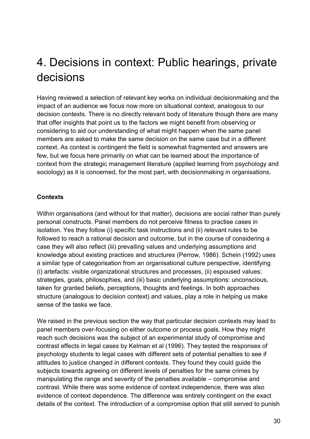## 4. Decisions in context: Public hearings, private decisions

Having reviewed a selection of relevant key works on individual decisionmaking and the impact of an audience we focus now more on situational context, analogous to our decision contexts. There is no directly relevant body of literature though there are many that offer insights that point us to the factors we might benefit from observing or considering to aid our understanding of what might happen when the same panel members are asked to make the same decision on the same case but in a different context. As context is contingent the field is somewhat fragmented and answers are few, but we focus here primarily on what can be learned about the importance of context from the strategic management literature (applied learning from psychology and sociology) as it is concerned, for the most part, with decisionmaking in organisations.

#### **Contexts**

Within organisations (and without for that matter), decisions are social rather than purely personal constructs. Panel members do not perceive fitness to practise cases in isolation. Yes they follow (i) specific task instructions and (ii) relevant rules to be followed to reach a rational decision and outcome, but in the course of considering a case they will also reflect (iii) prevailing values and underlying assumptions and knowledge about existing practices and structures [\(Perrow, 1986\)](#page-43-12). Schein [\(1992\)](#page-45-10) uses a similar type of categorisation from an organisational culture perspective, identifying (i) artefacts: visible organizational structures and processes, (ii) espoused values: strategies, goals, philosophies, and (iii) basic underlying assumptions: unconscious, taken for granted beliefs, perceptions, thoughts and feelings. In both approaches structure (analogous to decision context) and values, play a role in helping us make sense of the tasks we face.

We raised in the previous section the way that particular decision contexts may lead to panel members over-focusing on either outcome or process goals. How they might reach such decisions was the subject of an experimental study of compromise and contrast effects in legal cases by Kelman et al [\(1996\)](#page-41-14). They tested the responses of psychology students to legal cases with different sets of potential penalties to see if attitudes to justice changed in different contexts. They found they could guide the subjects towards agreeing on different levels of penalties for the same crimes by manipulating the range and severity of the penalties available – compromise and contrast. While there was some evidence of context independence, there was also evidence of context dependence. The difference was entirely contingent on the exact details of the context. The introduction of a compromise option that still served to punish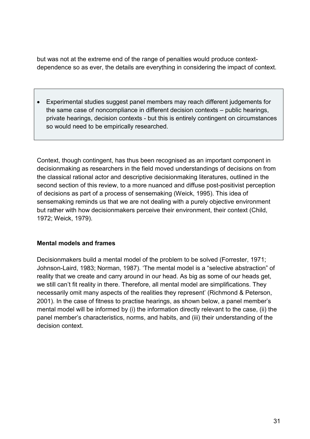but was not at the extreme end of the range of penalties would produce contextdependence so as ever, the details are everything in considering the impact of context.

• Experimental studies suggest panel members may reach different judgements for the same case of noncompliance in different decision contexts – public hearings, private hearings, decision contexts - but this is entirely contingent on circumstances so would need to be empirically researched.

Context, though contingent, has thus been recognised as an important component in decisionmaking as researchers in the field moved understandings of decisions on from the classical rational actor and descriptive decisionmaking literatures, outlined in the second section of this review, to a more nuanced and diffuse post-positivist perception of decisions as part of a process of sensemaking [\(Weick, 1995\)](#page-46-13). This idea of sensemaking reminds us that we are not dealing with a purely objective environment but rather with how decisionmakers perceive their environment, their context [\(Child,](#page-38-14)  [1972;](#page-38-14) [Weick, 1979\)](#page-46-14).

#### **Mental models and frames**

Decisionmakers build a mental model of the problem to be solved [\(Forrester, 1971;](#page-40-14) [Johnson-Laird, 1983;](#page-41-15) [Norman, 1987\)](#page-43-13). 'The mental model is a "selective abstraction" of reality that we create and carry around in our head. As big as some of our heads get, we still can't fit reality in there. Therefore, all mental model are simplifications. They necessarily omit many aspects of the realities they represent' [\(Richmond & Peterson,](#page-44-13)  [2001\)](#page-44-13). In the case of fitness to practise hearings, as shown below, a panel member's mental model will be informed by (i) the information directly relevant to the case, (ii) the panel member's characteristics, norms, and habits, and (iii) their understanding of the decision context.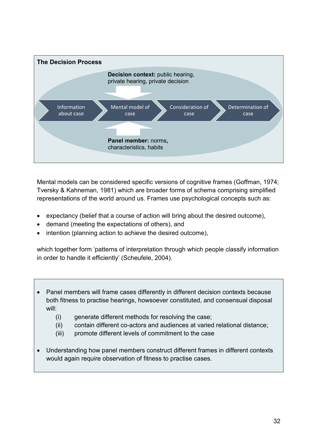

Mental models can be considered specific versions of cognitive frames [\(Goffman, 1974;](#page-40-15) [Tversky & Kahneman, 1981\)](#page-46-15) which are broader forms of schema comprising simplified representations of the world around us. Frames use psychological concepts such as:

- expectancy (belief that a course of action will bring about the desired outcome),
- demand (meeting the expectations of others), and
- intention (planning action to achieve the desired outcome),

which together form 'patterns of interpretation through which people classify information in order to handle it efficiently' [\(Scheufele, 2004\)](#page-45-11).

- Panel members will frame cases differently in different decision contexts because both fitness to practise hearings, howsoever constituted, and consensual disposal will:
	- (i) generate different methods for resolving the case;
	- (ii) contain different co-actors and audiences at varied relational distance;
	- (iii) promote different levels of commitment to the case
- Understanding how panel members construct different frames in different contexts would again require observation of fitness to practise cases.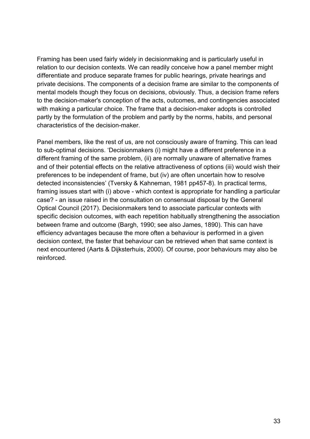Framing has been used fairly widely in decisionmaking and is particularly useful in relation to our decision contexts. We can readily conceive how a panel member might differentiate and produce separate frames for public hearings, private hearings and private decisions. The components of a decision frame are similar to the components of mental models though they focus on decisions, obviously. Thus, a decision frame refers to the decision-maker's conception of the acts, outcomes, and contingencies associated with making a particular choice. The frame that a decision-maker adopts is controlled partly by the formulation of the problem and partly by the norms, habits, and personal characteristics of the decision-maker.

Panel members, like the rest of us, are not consciously aware of framing. This can lead to sub-optimal decisions. 'Decisionmakers (i) might have a different preference in a different framing of the same problem, (ii) are normally unaware of alternative frames and of their potential effects on the relative attractiveness of options (iii) would wish their preferences to be independent of frame, but (iv) are often uncertain how to resolve detected inconsistencies' [\(Tversky & Kahneman, 1981 pp457-8\)](#page-46-15). In practical terms, framing issues start with (i) above - which context is appropriate for handling a particular case? - an issue raised in the consultation on consensual disposal by the General Optical Council [\(2017\)](#page-40-16). Decisionmakers tend to associate particular contexts with specific decision outcomes, with each repetition habitually strengthening the association between frame and outcome [\(Bargh, 1990;](#page-37-13) [see also James, 1890\)](#page-41-16). This can have efficiency advantages because the more often a behaviour is performed in a given decision context, the faster that behaviour can be retrieved when that same context is next encountered [\(Aarts & Dijksterhuis, 2000\)](#page-37-14). Of course, poor behaviours may also be reinforced.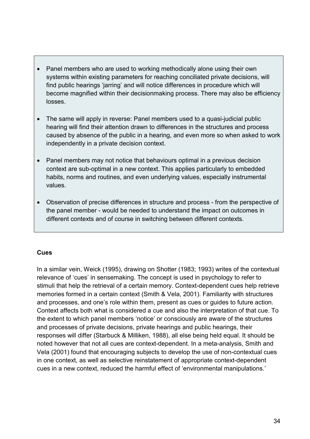- Panel members who are used to working methodically alone using their own systems within existing parameters for reaching conciliated private decisions, will find public hearings 'jarring' and will notice differences in procedure which will become magnified within their decisionmaking process. There may also be efficiency losses.
- The same will apply in reverse: Panel members used to a quasi-judicial public hearing will find their attention drawn to differences in the structures and process caused by absence of the public in a hearing, and even more so when asked to work independently in a private decision context.
- Panel members may not notice that behaviours optimal in a previous decision context are sub-optimal in a new context. This applies particularly to embedded habits, norms and routines, and even underlying values, especially instrumental values.
- Observation of precise differences in structure and process from the perspective of the panel member - would be needed to understand the impact on outcomes in different contexts and of course in switching between different contexts.

#### **Cues**

In a similar vein, Weick [\(1995\)](#page-46-13), drawing on Shotter [\(1983;](#page-45-12) [1993\)](#page-45-13) writes of the contextual relevance of 'cues' in sensemaking. The concept is used in psychology to refer to stimuli that help the retrieval of a certain memory. Context-dependent cues help retrieve memories formed in a certain context [\(Smith & Vela, 2001\)](#page-45-14). Familiarity with structures and processes, and one's role within them, present as cues or guides to future action. Context affects both what is considered a cue and also the interpretation of that cue. To the extent to which panel members 'notice' or consciously are aware of the structures and processes of private decisions, private hearings and public hearings, their responses will differ [\(Starbuck & Milliken, 1988\)](#page-45-15), all else being held equal. It should be noted however that not all cues are context-dependent. In a meta-analysis, Smith and Vela [\(2001\)](#page-45-14) found that encouraging subjects to develop the use of non-contextual cues in one context, as well as selective reinstatement of appropriate context-dependent cues in a new context, reduced the harmful effect of 'environmental manipulations.'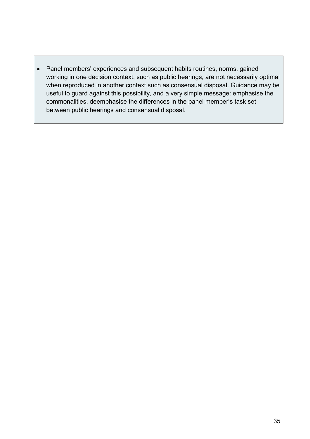• Panel members' experiences and subsequent habits routines, norms, gained working in one decision context, such as public hearings, are not necessarily optimal when reproduced in another context such as consensual disposal. Guidance may be useful to guard against this possibility, and a very simple message: emphasise the commonalities, deemphasise the differences in the panel member's task set between public hearings and consensual disposal.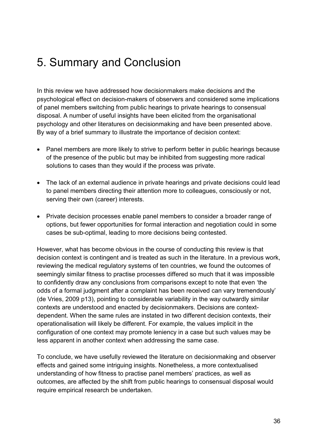## 5. Summary and Conclusion

In this review we have addressed how decisionmakers make decisions and the psychological effect on decision-makers of observers and considered some implications of panel members switching from public hearings to private hearings to consensual disposal. A number of useful insights have been elicited from the organisational psychology and other literatures on decisionmaking and have been presented above. By way of a brief summary to illustrate the importance of decision context:

- Panel members are more likely to strive to perform better in public hearings because of the presence of the public but may be inhibited from suggesting more radical solutions to cases than they would if the process was private.
- The lack of an external audience in private hearings and private decisions could lead to panel members directing their attention more to colleagues, consciously or not, serving their own (career) interests.
- Private decision processes enable panel members to consider a broader range of options, but fewer opportunities for formal interaction and negotiation could in some cases be sub-optimal, leading to more decisions being contested.

However, what has become obvious in the course of conducting this review is that decision context is contingent and is treated as such in the literature. In a previous work, reviewing the medical regulatory systems of ten countries, we found the outcomes of seemingly similar fitness to practise processes differed so much that it was impossible to confidently draw any conclusions from comparisons except to note that even 'the odds of a formal judgment after a complaint has been received can vary tremendously' [\(de Vries, 2009 p13\)](#page-39-13), pointing to considerable variability in the way outwardly similar contexts are understood and enacted by decisionmakers. Decisions are contextdependent. When the same rules are instated in two different decision contexts, their operationalisation will likely be different. For example, the values implicit in the configuration of one context may promote leniency in a case but such values may be less apparent in another context when addressing the same case.

To conclude, we have usefully reviewed the literature on decisionmaking and observer effects and gained some intriguing insights. Nonetheless, a more contextualised understanding of how fitness to practise panel members' practices, as well as outcomes, are affected by the shift from public hearings to consensual disposal would require empirical research be undertaken.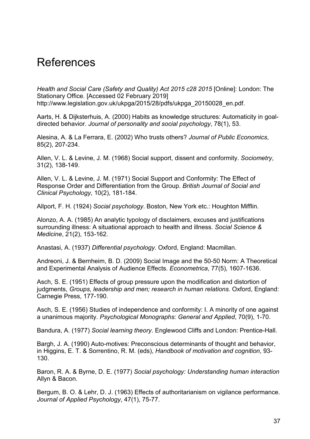### References

<span id="page-37-0"></span>*Health and Social Care (Safety and Quality) Act 2015 c28 2015* [Online]: London: The Stationary Office. [Accessed 02 February 2019] [http://www.legislation.gov.uk/ukpga/2015/28/pdfs/ukpga\\_20150028\\_en.pdf.](http://www.legislation.gov.uk/ukpga/2015/28/pdfs/ukpga_20150028_en.pdf)

<span id="page-37-14"></span>Aarts, H. & Dijksterhuis, A. (2000) Habits as knowledge structures: Automaticity in goaldirected behavior. *Journal of personality and social psychology*, 78(1), 53.

<span id="page-37-1"></span>Alesina, A. & La Ferrara, E. (2002) Who trusts others? *Journal of Public Economics*, 85(2), 207-234.

<span id="page-37-9"></span>Allen, V. L. & Levine, J. M. (1968) Social support, dissent and conformity. *Sociometry*, 31(2), 138-149.

<span id="page-37-10"></span>Allen, V. L. & Levine, J. M. (1971) Social Support and Conformity: The Effect of Response Order and Differentiation from the Group. *British Journal of Social and Clinical Psychology*, 10(2), 181-184.

<span id="page-37-4"></span>Allport, F. H. (1924) *Social psychology*. Boston, New York etc.: Houghton Mifflin.

<span id="page-37-3"></span>Alonzo, A. A. (1985) An analytic typology of disclaimers, excuses and justifications surrounding illness: A situational approach to health and illness. *Social Science & Medicine*, 21(2), 153-162.

<span id="page-37-7"></span>Anastasi, A. (1937) *Differential psychology*. Oxford, England: Macmillan.

<span id="page-37-12"></span>Andreoni, J. & Bernheim, B. D. (2009) Social Image and the 50-50 Norm: A Theoretical and Experimental Analysis of Audience Effects. *Econometrica*, 77(5), 1607-1636.

<span id="page-37-6"></span>Asch, S. E. (1951) Effects of group pressure upon the modification and distortion of judgments, *Groups, leadership and men; research in human relations.* Oxford, England: Carnegie Press, 177-190.

<span id="page-37-11"></span>Asch, S. E. (1956) Studies of independence and conformity: I. A minority of one against a unanimous majority. *Psychological Monographs: General and Applied*, 70(9), 1-70.

<span id="page-37-2"></span>Bandura, A. (1977) *Social learning theory*. Englewood Cliffs and London: Prentice-Hall.

<span id="page-37-13"></span>Bargh, J. A. (1990) Auto-motives: Preconscious determinants of thought and behavior, in Higgins, E. T. & Sorrentino, R. M. (eds), *Handbook of motivation and cognition*, 93- 130.

<span id="page-37-8"></span>Baron, R. A. & Byrne, D. E. (1977) *Social psychology: Understanding human interaction*  Allyn & Bacon.

<span id="page-37-5"></span>Bergum, B. O. & Lehr, D. J. (1963) Effects of authoritarianism on vigilance performance. *Journal of Applied Psychology*, 47(1), 75-77.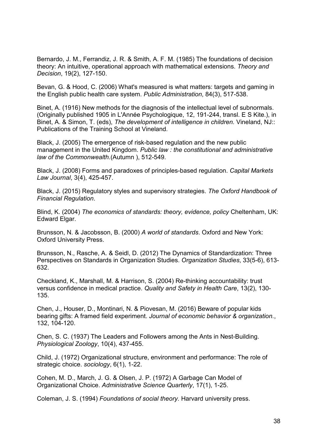<span id="page-38-1"></span>Bernardo, J. M., Ferrandiz, J. R. & Smith, A. F. M. (1985) The foundations of decision theory: An intuitive, operational approach with mathematical extensions. *Theory and Decision*, 19(2), 127-150.

<span id="page-38-2"></span>Bevan, G. & Hood, C. (2006) What's measured is what matters: targets and gaming in the English public health care system. *Public Administration*, 84(3), 517-538.

<span id="page-38-12"></span>Binet, A. (1916) New methods for the diagnosis of the intellectual level of subnormals. (Originally published 1905 in L'Année Psychologique, 12, 191-244, transl. E S Kite.), in Binet, A. & Simon, T. (eds), *The development of intelligence in children.* Vineland, NJ:: Publications of the Training School at Vineland.

<span id="page-38-6"></span>Black, J. (2005) The emergence of risk-based regulation and the new public management in the United Kingdom. *Public law : the constitutional and administrative law of the Commonwealth.*(Autumn ), 512-549.

<span id="page-38-7"></span>Black, J. (2008) Forms and paradoxes of principles-based regulation. *Capital Markets Law Journal*, 3(4), 425-457.

<span id="page-38-8"></span>Black, J. (2015) Regulatory styles and supervisory strategies. *The Oxford Handbook of Financial Regulation*.

<span id="page-38-5"></span>Blind, K. (2004) *The economics of standards: theory, evidence, policy* Cheltenham, UK: Edward Elgar.

<span id="page-38-3"></span>Brunsson, N. & Jacobsson, B. (2000) *A world of standards*. Oxford and New York: Oxford University Press.

<span id="page-38-4"></span>Brunsson, N., Rasche, A. & Seidl, D. (2012) The Dynamics of Standardization: Three Perspectives on Standards in Organization Studies. *Organization Studies*, 33(5-6), 613- 632.

<span id="page-38-10"></span>Checkland, K., Marshall, M. & Harrison, S. (2004) Re-thinking accountability: trust versus confidence in medical practice. *Quality and Safety in Health Care*, 13(2), 130- 135.

<span id="page-38-13"></span>Chen, J., Houser, D., Montinari, N. & Piovesan, M. (2016) Beware of popular kids bearing gifts: A framed field experiment. *Journal of economic behavior & organization.*, 132, 104-120.

<span id="page-38-11"></span>Chen, S. C. (1937) The Leaders and Followers among the Ants in Nest-Building. *Physiological Zoology*, 10(4), 437-455.

<span id="page-38-14"></span>Child, J. (1972) Organizational structure, environment and performance: The role of strategic choice. *sociology*, 6(1), 1-22.

<span id="page-38-0"></span>Cohen, M. D., March, J. G. & Olsen, J. P. (1972) A Garbage Can Model of Organizational Choice. *Administrative Science Quarterly*, 17(1), 1-25.

<span id="page-38-9"></span>Coleman, J. S. (1994) *Foundations of social theory.* Harvard university press.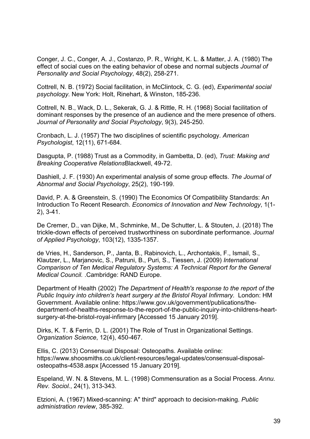<span id="page-39-9"></span>Conger, J. C., Conger, A. J., Costanzo, P. R., Wright, K. L. & Matter, J. A. (1980) The effect of social cues on the eating behavior of obese and normal subjects *Journal of Personality and Social Psychology*, 48(2), 258-271.

<span id="page-39-10"></span>Cottrell, N. B. (1972) Social facilitation, in McClintock, C. G. (ed), *Experimental social psychology*. New York: Holt, Rinehart, & Winston, 185-236.

<span id="page-39-11"></span>Cottrell, N. B., Wack, D. L., Sekerak, G. J. & Rittle, R. H. (1968) Social facilitation of dominant responses by the presence of an audience and the mere presence of others. *Journal of Personality and Social Psychology*, 9(3), 245-250.

<span id="page-39-12"></span>Cronbach, L. J. (1957) The two disciplines of scientific psychology. *American Psychologist*, 12(11), 671-684.

<span id="page-39-4"></span>Dasgupta, P. (1988) Trust as a Commodity, in Gambetta, D. (ed), *Trust: Making and Breaking Cooperative Relations*Blackwell, 49-72.

<span id="page-39-8"></span>Dashiell, J. F. (1930) An experimental analysis of some group effects. *The Journal of Abnormal and Social Psychology*, 25(2), 190-199.

<span id="page-39-3"></span>David, P. A. & Greenstein, S. (1990) The Economics Of Compatibility Standards: An Introduction To Recent Research. *Economics of Innovation and New Technology*, 1(1- 2), 3-41.

<span id="page-39-7"></span>De Cremer, D., van Dijke, M., Schminke, M., De Schutter, L. & Stouten, J. (2018) The trickle-down effects of perceived trustworthiness on subordinate performance. *Journal of Applied Psychology*, 103(12), 1335-1357.

<span id="page-39-13"></span>de Vries, H., Sanderson, P., Janta, B., Rabinovich, L., Archontakis, F., Ismail, S., Klautzer, L., Marjanovic, S., Patruni, B., Puri, S., Tiessen, J. (2009) *International Comparison of Ten Medical Regulatory Systems: A Technical Report for the General Medical Council.* .Cambridge: RAND Europe.

<span id="page-39-6"></span>Department of Health (2002) *The Department of Health's response to the report of the Public Inquiry into children's heart surgery at the Bristol Royal Infirmary.* London: HM Government. Available online: [https://www.gov.uk/government/publications/the](https://www.gov.uk/government/publications/the-department-of-healths-response-to-the-report-of-the-public-inquiry-into-childrens-heart-surgery-at-the-bristol-royal-infirmary)[department-of-healths-response-to-the-report-of-the-public-inquiry-into-childrens-heart](https://www.gov.uk/government/publications/the-department-of-healths-response-to-the-report-of-the-public-inquiry-into-childrens-heart-surgery-at-the-bristol-royal-infirmary)[surgery-at-the-bristol-royal-infirmary](https://www.gov.uk/government/publications/the-department-of-healths-response-to-the-report-of-the-public-inquiry-into-childrens-heart-surgery-at-the-bristol-royal-infirmary) [Accessed 15 January 2019].

<span id="page-39-5"></span>Dirks, K. T. & Ferrin, D. L. (2001) The Role of Trust in Organizational Settings. *Organization Science*, 12(4), 450-467.

<span id="page-39-0"></span>Ellis, C. (2013) Consensual Disposal: Osteopaths. Available online: [https://www.shoosmiths.co.uk/client-resources/legal-updates/consensual-disposal](https://www.shoosmiths.co.uk/client-resources/legal-updates/consensual-disposal-osteopaths-4538.aspx)[osteopaths-4538.aspx](https://www.shoosmiths.co.uk/client-resources/legal-updates/consensual-disposal-osteopaths-4538.aspx) [Accessed 15 January 2019].

<span id="page-39-2"></span>Espeland, W. N. & Stevens, M. L. (1998) Commensuration as a Social Process. *Annu. Rev. Sociol.*, 24(1), 313-343.

<span id="page-39-1"></span>Etzioni, A. (1967) Mixed-scanning: A" third" approach to decision-making. *Public administration review*, 385-392.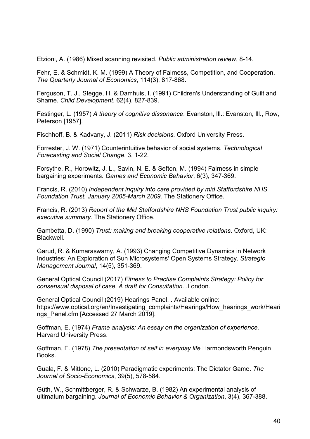<span id="page-40-0"></span>Etzioni, A. (1986) Mixed scanning revisited. *Public administration review*, 8-14.

<span id="page-40-13"></span>Fehr, E. & Schmidt, K. M. (1999) A Theory of Fairness, Competition, and Cooperation. *The Quarterly Journal of Economics*, 114(3), 817-868.

<span id="page-40-9"></span>Ferguson, T. J., Stegge, H. & Damhuis, I. (1991) Children's Understanding of Guilt and Shame. *Child Development*, 62(4), 827-839.

<span id="page-40-2"></span>Festinger, L. (1957) *A theory of cognitive dissonance*. Evanston, Ill.: Evanston, Ill., Row, Peterson [1957].

<span id="page-40-1"></span>Fischhoff, B. & Kadvany, J. (2011) *Risk decisions.* Oxford University Press.

<span id="page-40-14"></span>Forrester, J. W. (1971) Counterintuitive behavior of social systems. *Technological Forecasting and Social Change*, 3, 1-22.

<span id="page-40-10"></span>Forsythe, R., Horowitz, J. L., Savin, N. E. & Sefton, M. (1994) Fairness in simple bargaining experiments. *Games and Economic Behavior*, 6(3), 347-369.

<span id="page-40-3"></span>Francis, R. (2010) *Independent inquiry into care provided by mid Staffordshire NHS Foundation Trust. January 2005-March 2009.* The Stationery Office.

<span id="page-40-4"></span>Francis, R. (2013) *Report of the Mid Staffordshire NHS Foundation Trust public inquiry: executive summary.* The Stationery Office.

<span id="page-40-6"></span>Gambetta, D. (1990) *Trust: making and breaking cooperative relations*. Oxford, UK: **Blackwell** 

<span id="page-40-5"></span>Garud, R. & Kumaraswamy, A. (1993) Changing Competitive Dynamics in Network Industries: An Exploration of Sun Microsystems' Open Systems Strategy. *Strategic Management Journal*, 14(5), 351-369.

<span id="page-40-16"></span>General Optical Council (2017) *Fitness to Practise Complaints Strategy: Policy for consensual disposal of case. A draft for Consultation.* .London.

<span id="page-40-8"></span>General Optical Council (2019) Hearings Panel. . Available online: [https://www.optical.org/en/Investigating\\_complaints/Hearings/How\\_hearings\\_work/Heari](https://www.optical.org/en/Investigating_complaints/Hearings/How_hearings_work/Hearings_Panel.cfm) ngs Panel.cfm [Accessed 27 March 2019].

<span id="page-40-15"></span>Goffman, E. (1974) *Frame analysis: An essay on the organization of experience.*  Harvard University Press.

<span id="page-40-7"></span>Goffman, E. (1978) *The presentation of self in everyday life* Harmondsworth Penguin Books.

<span id="page-40-11"></span>Guala, F. & Mittone, L. (2010) Paradigmatic experiments: The Dictator Game. *The Journal of Socio-Economics*, 39(5), 578-584.

<span id="page-40-12"></span>Güth, W., Schmittberger, R. & Schwarze, B. (1982) An experimental analysis of ultimatum bargaining. *Journal of Economic Behavior & Organization*, 3(4), 367-388.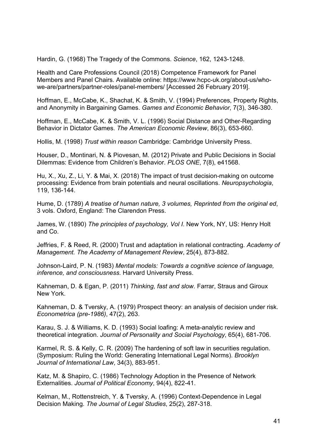<span id="page-41-11"></span>Hardin, G. (1968) The Tragedy of the Commons. *Science*, 162, 1243-1248.

<span id="page-41-0"></span>Health and Care Professions Council (2018) Competence Framework for Panel Members and Panel Chairs. Available online: [https://www.hcpc-uk.org/about-us/who](https://www.hcpc-uk.org/about-us/who-we-are/partners/partner-roles/panel-members/)[we-are/partners/partner-roles/panel-members/](https://www.hcpc-uk.org/about-us/who-we-are/partners/partner-roles/panel-members/) [Accessed 26 February 2019].

<span id="page-41-12"></span>Hoffman, E., McCabe, K., Shachat, K. & Smith, V. (1994) Preferences, Property Rights, and Anonymity in Bargaining Games. *Games and Economic Behavior*, 7(3), 346-380.

<span id="page-41-13"></span>Hoffman, E., McCabe, K. & Smith, V. L. (1996) Social Distance and Other-Regarding Behavior in Dictator Games. *The American Economic Review*, 86(3), 653-660.

<span id="page-41-4"></span>Hollis, M. (1998) *Trust within reason* Cambridge: Cambridge University Press.

<span id="page-41-10"></span>Houser, D., Montinari, N. & Piovesan, M. (2012) Private and Public Decisions in Social Dilemmas: Evidence from Children's Behavior. *PLOS ONE*, 7(8), e41568.

<span id="page-41-6"></span>Hu, X., Xu, Z., Li, Y. & Mai, X. (2018) The impact of trust decision-making on outcome processing: Evidence from brain potentials and neural oscillations. *Neuropsychologia*, 119, 136-144.

<span id="page-41-1"></span>Hume, D. (1789) *A treatise of human nature, 3 volumes, Reprinted from the original ed*, 3 vols. Oxford, England: The Clarendon Press.

<span id="page-41-16"></span>James, W. (1890) *The principles of psychology, Vol I*. New York, NY, US: Henry Holt and Co.

<span id="page-41-5"></span>Jeffries, F. & Reed, R. (2000) Trust and adaptation in relational contracting. *Academy of Management. The Academy of Management Review*, 25(4), 873-882.

<span id="page-41-15"></span>Johnson-Laird, P. N. (1983) *Mental models: Towards a cognitive science of language, inference, and consciousness.* Harvard University Press.

<span id="page-41-8"></span>Kahneman, D. & Egan, P. (2011) *Thinking, fast and slow.* Farrar, Straus and Giroux New York.

<span id="page-41-9"></span>Kahneman, D. & Tversky, A. (1979) Prospect theory: an analysis of decision under risk. *Econometrica (pre-1986)*, 47(2), 263.

<span id="page-41-7"></span>Karau, S. J. & Williams, K. D. (1993) Social loafing: A meta-analytic review and theoretical integration. *Journal of Personality and Social Psychology*, 65(4), 681-706.

<span id="page-41-3"></span>Karmel, R. S. & Kelly, C. R. (2009) The hardening of soft law in securities regulation. (Symposium: Ruling the World: Generating International Legal Norms). *Brooklyn Journal of International Law*, 34(3), 883-951.

<span id="page-41-2"></span>Katz, M. & Shapiro, C. (1986) Technology Adoption in the Presence of Network Externalities. *Journal of Political Economy*, 94(4), 822-41.

<span id="page-41-14"></span>Kelman, M., Rottenstreich, Y. & Tversky, A. (1996) Context-Dependence in Legal Decision Making. *The Journal of Legal Studies*, 25(2), 287-318.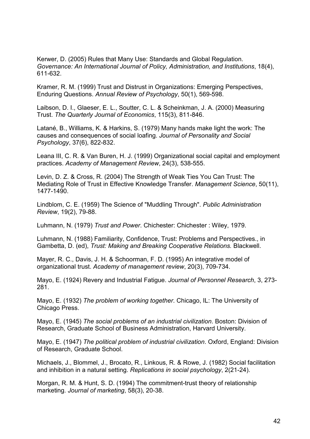<span id="page-42-1"></span>Kerwer, D. (2005) Rules that Many Use: Standards and Global Regulation. *Governance: An International Journal of Policy, Administration, and Institutions*, 18(4), 611-632.

<span id="page-42-5"></span>Kramer, R. M. (1999) Trust and Distrust in Organizations: Emerging Perspectives, Enduring Questions. *Annual Review of Psychology*, 50(1), 569-598.

<span id="page-42-2"></span>Laibson, D. I., Glaeser, E. L., Soutter, C. L. & Scheinkman, J. A. (2000) Measuring Trust. *The Quarterly Journal of Economics*, 115(3), 811-846.

<span id="page-42-14"></span>Latané, B., Williams, K. & Harkins, S. (1979) Many hands make light the work: The causes and consequences of social loafing. *Journal of Personality and Social Psychology*, 37(6), 822-832.

<span id="page-42-15"></span>Leana III, C. R. & Van Buren, H. J. (1999) Organizational social capital and employment practices. *Academy of Management Review*, 24(3), 538-555.

<span id="page-42-6"></span>Levin, D. Z. & Cross, R. (2004) The Strength of Weak Ties You Can Trust: The Mediating Role of Trust in Effective Knowledge Transfer. *Management Science*, 50(11), 1477-1490.

<span id="page-42-0"></span>Lindblom, C. E. (1959) The Science of "Muddling Through". *Public Administration Review*, 19(2), 79-88.

<span id="page-42-3"></span>Luhmann, N. (1979) *Trust and Power*. Chichester: Chichester : Wiley, 1979.

<span id="page-42-4"></span>Luhmann, N. (1988) Familiarity, Confidence, Trust: Problems and Perspectives., in Gambetta, D. (ed), *Trust: Making and Breaking Cooperative Relations.* Blackwell.

<span id="page-42-7"></span>Mayer, R. C., Davis, J. H. & Schoorman, F. D. (1995) An integrative model of organizational trust. *Academy of management review*, 20(3), 709-734.

<span id="page-42-9"></span>Mayo, E. (1924) Revery and Industrial Fatigue. *Journal of Personnel Research*, 3, 273- 281.

<span id="page-42-10"></span>Mayo, E. (1932) *The problem of working together*. Chicago, IL: The University of Chicago Press.

<span id="page-42-12"></span>Mayo, E. (1945) *The social problems of an industrial civilization*. Boston: Division of Research, Graduate School of Business Administration, Harvard University.

<span id="page-42-11"></span>Mayo, E. (1947) *The political problem of industrial civilization*. Oxford, England: Division of Research, Graduate School.

<span id="page-42-13"></span>Michaels, J., Blommel, J., Brocato, R., Linkous, R. & Rowe, J. (1982) Social facilitation and inhibition in a natural setting. *Replications in social psychology*, 2(21-24).

<span id="page-42-8"></span>Morgan, R. M. & Hunt, S. D. (1994) The commitment-trust theory of relationship marketing. *Journal of marketing*, 58(3), 20-38.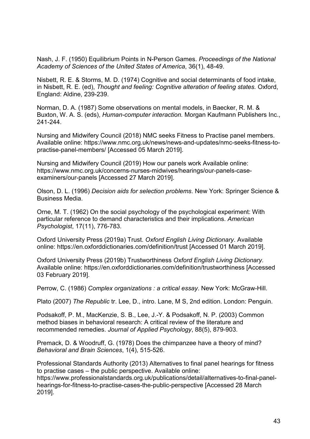<span id="page-43-3"></span>Nash, J. F. (1950) Equilibrium Points in N-Person Games. *Proceedings of the National Academy of Sciences of the United States of America*, 36(1), 48-49.

<span id="page-43-9"></span>Nisbett, R. E. & Storms, M. D. (1974) Cognitive and social determinants of food intake, in Nisbett, R. E. (ed), *Thought and feeling: Cognitive alteration of feeling states.* Oxford, England: Aldine, 239-239.

<span id="page-43-13"></span>Norman, D. A. (1987) Some observations on mental models, in Baecker, R. M. & Buxton, W. A. S. (eds), *Human-computer interaction.* Morgan Kaufmann Publishers Inc., 241-244.

<span id="page-43-1"></span>Nursing and Midwifery Council (2018) NMC seeks Fitness to Practise panel members. Available online: [https://www.nmc.org.uk/news/news-and-updates/nmc-seeks-fitness-to](https://www.nmc.org.uk/news/news-and-updates/nmc-seeks-fitness-to-practise-panel-members/)[practise-panel-members/](https://www.nmc.org.uk/news/news-and-updates/nmc-seeks-fitness-to-practise-panel-members/) [Accessed 05 March 2019].

<span id="page-43-10"></span>Nursing and Midwifery Council (2019) How our panels work Available online: [https://www.nmc.org.uk/concerns-nurses-midwives/hearings/our-panels-case](https://www.nmc.org.uk/concerns-nurses-midwives/hearings/our-panels-case-examiners/our-panels)[examiners/our-panels](https://www.nmc.org.uk/concerns-nurses-midwives/hearings/our-panels-case-examiners/our-panels) [Accessed 27 March 2019].

<span id="page-43-4"></span>Olson, D. L. (1996) *Decision aids for selection problems*. New York: Springer Science & Business Media.

<span id="page-43-7"></span>Orne, M. T. (1962) On the social psychology of the psychological experiment: With particular reference to demand characteristics and their implications. *American Psychologist*, 17(11), 776-783.

<span id="page-43-5"></span>Oxford University Press (2019a) Trust. *Oxford English Living Dictionary*. Available online:<https://en.oxforddictionaries.com/definition/trust> [Accessed 01 March 2019].

<span id="page-43-6"></span>Oxford University Press (2019b) Trustworthiness *Oxford English Living Dictionary*. Available online:<https://en.oxforddictionaries.com/definition/trustworthiness> [Accessed 03 February 2019].

<span id="page-43-12"></span>Perrow, C. (1986) *Complex organizations : a critical essay*. New York: McGraw-Hill.

<span id="page-43-2"></span>Plato (2007) *The Republic* tr. Lee, D., intro. Lane, M S, 2nd edition. London: Penguin.

<span id="page-43-8"></span>Podsakoff, P. M., MacKenzie, S. B., Lee, J.-Y. & Podsakoff, N. P. (2003) Common method biases in behavioral research: A critical review of the literature and recommended remedies. *Journal of Applied Psychology*, 88(5), 879-903.

<span id="page-43-11"></span>Premack, D. & Woodruff, G. (1978) Does the chimpanzee have a theory of mind? *Behavioral and Brain Sciences*, 1(4), 515-526.

<span id="page-43-0"></span>Professional Standards Authority (2013) Alternatives to final panel hearings for fitness to practise cases – the public perspective. Available online:

[https://www.professionalstandards.org.uk/publications/detail/alternatives-to-final-panel](https://www.professionalstandards.org.uk/publications/detail/alternatives-to-final-panel-hearings-for-fitness-to-practise-cases-the-public-perspective)[hearings-for-fitness-to-practise-cases-the-public-perspective](https://www.professionalstandards.org.uk/publications/detail/alternatives-to-final-panel-hearings-for-fitness-to-practise-cases-the-public-perspective) [Accessed 28 March 2019].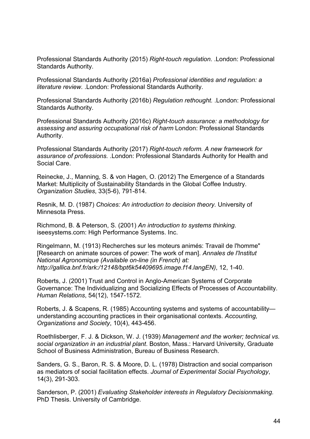<span id="page-44-1"></span>Professional Standards Authority (2015) *Right-touch regulation.* .London: Professional Standards Authority.

<span id="page-44-2"></span>Professional Standards Authority (2016a) *Professional identities and regulation: a literature review.* .London: Professional Standards Authority.

<span id="page-44-3"></span>Professional Standards Authority (2016b) *Regulation rethought.* .London: Professional Standards Authority.

<span id="page-44-4"></span>Professional Standards Authority (2016c) *Right-touch assurance: a methodology for assessing and assuring occupational risk of harm* London: Professional Standards Authority.

<span id="page-44-0"></span>Professional Standards Authority (2017) *Right-touch reform. A new framework for assurance of professions.* .London: Professional Standards Authority for Health and Social Care.

<span id="page-44-6"></span>Reinecke, J., Manning, S. & von Hagen, O. (2012) The Emergence of a Standards Market: Multiplicity of Sustainability Standards in the Global Coffee Industry. *Organization Studies*, 33(5-6), 791-814.

<span id="page-44-5"></span>Resnik, M. D. (1987) *Choices: An introduction to decision theory.* University of Minnesota Press.

<span id="page-44-13"></span>Richmond, B. & Peterson, S. (2001) *An introduction to systems thinking*. iseesystems.com: High Performance Systems. Inc.

<span id="page-44-12"></span>Ringelmann, M. (1913) Recherches sur les moteurs animés: Travail de l'homme" [Research on animate sources of power: The work of man]. *Annales de l'Institut National Agronomique (Available on-line (in French) at: [http://gallica.bnf.fr/ark:/12148/bpt6k54409695.image.f14.langEN\)](http://gallica.bnf.fr/ark:/12148/bpt6k54409695.image.f14.langEN)*, 12, 1-40.

<span id="page-44-7"></span>Roberts, J. (2001) Trust and Control in Anglo-American Systems of Corporate Governance: The Individualizing and Socializing Effects of Processes of Accountability. *Human Relations*, 54(12), 1547-1572.

<span id="page-44-8"></span>Roberts, J. & Scapens, R. (1985) Accounting systems and systems of accountability understanding accounting practices in their organisational contexts. *Accounting, Organizations and Society*, 10(4), 443-456.

<span id="page-44-9"></span>Roethlisberger, F. J. & Dickson, W. J. (1939) *Management and the worker; technical vs. social organization in an industrial plant*. Boston, Mass.: Harvard University, Graduate School of Business Administration, Bureau of Business Research.

<span id="page-44-11"></span>Sanders, G. S., Baron, R. S. & Moore, D. L. (1978) Distraction and social comparison as mediators of social facilitation effects. *Journal of Experimental Social Psychology*, 14(3), 291-303.

<span id="page-44-10"></span>Sanderson, P. (2001) *Evaluating Stakeholder interests in Regulatory Decisionmaking.*  PhD Thesis. University of Cambridge.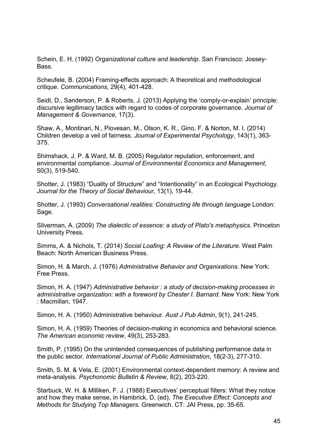<span id="page-45-10"></span>Schein, E. H. (1992) *Organizational culture and leadership*. San Francisco: Jossey-Bass.

<span id="page-45-11"></span>Scheufele, B. (2004) Framing-effects approach: A theoretical and methodological critique. *Communications*, 29(4), 401-428.

<span id="page-45-6"></span>Seidl, D., Sanderson, P. & Roberts, J. (2013) Applying the 'comply-or-explain' principle: discursive legitimacy tactics with regard to codes of corporate governance. *Journal of Management & Governance*, 17(3).

<span id="page-45-9"></span>Shaw, A., Montinari, N., Piovesan, M., Olson, K. R., Gino, F. & Norton, M. I. (2014) Children develop a veil of fairness. *Journal of Experimental Psychology*, 143(1), 363- 375.

<span id="page-45-5"></span>Shimshack, J. P. & Ward, M. B. (2005) Regulator reputation, enforcement, and environmental compliance. *Journal of Environmental Economics and Management*, 50(3), 519-540.

<span id="page-45-12"></span>Shotter, J. (1983) "Duality of Structure" and "Intentionality" in an Ecological Psychology. *Journal for the Theory of Social Behaviour*, 13(1), 19-44.

<span id="page-45-13"></span>Shotter, J. (1993) *Conversational realities: Constructing life through language* London: Sage.

<span id="page-45-7"></span>Silverman, A. (2009) *The dialectic of essence: a study of Plato's metaphysics.* Princeton University Press.

<span id="page-45-8"></span>Simms, A. & Nichols, T. (2014) *Social Loafing: A Review of the Literature*. West Palm Beach: North American Business Press.

<span id="page-45-2"></span>Simon, H. & March, J. (1976) *Administrative Behavior and Organixations*. New York: Free Press.

<span id="page-45-0"></span>Simon, H. A. (1947) *Administrative behavior : a study of decision-making processes in administrative organization: with a foreword by Chester I. Barnard*. New York: New York : Macmillan, 1947.

<span id="page-45-3"></span>Simon, H. A. (1950) Administrative behaviour. *Aust J Pub Admin*, 9(1), 241-245.

<span id="page-45-1"></span>Simon, H. A. (1959) Theories of decision-making in economics and behavioral science. *The American economic review*, 49(3), 253-283.

<span id="page-45-4"></span>Smith, P. (1995) On the unintended consequences of publishing performance data in the public sector. *International Journal of Public Administration*, 18(2-3), 277-310.

<span id="page-45-14"></span>Smith, S. M. & Vela, E. (2001) Environmental context-dependent memory: A review and meta-analysis. *Psychonomic Bulletin & Review*, 8(2), 203-220.

<span id="page-45-15"></span>Starbuck, W. H. & Milliken, F. J. (1988) Executives' perceptual filters: What they notice and how they make sense, in Hambrick, D. (ed), *The Executive Effect: Concepts and Methods for Studying Top Managers*. Greenwich. CT: JAI Press, pp. 35-65.